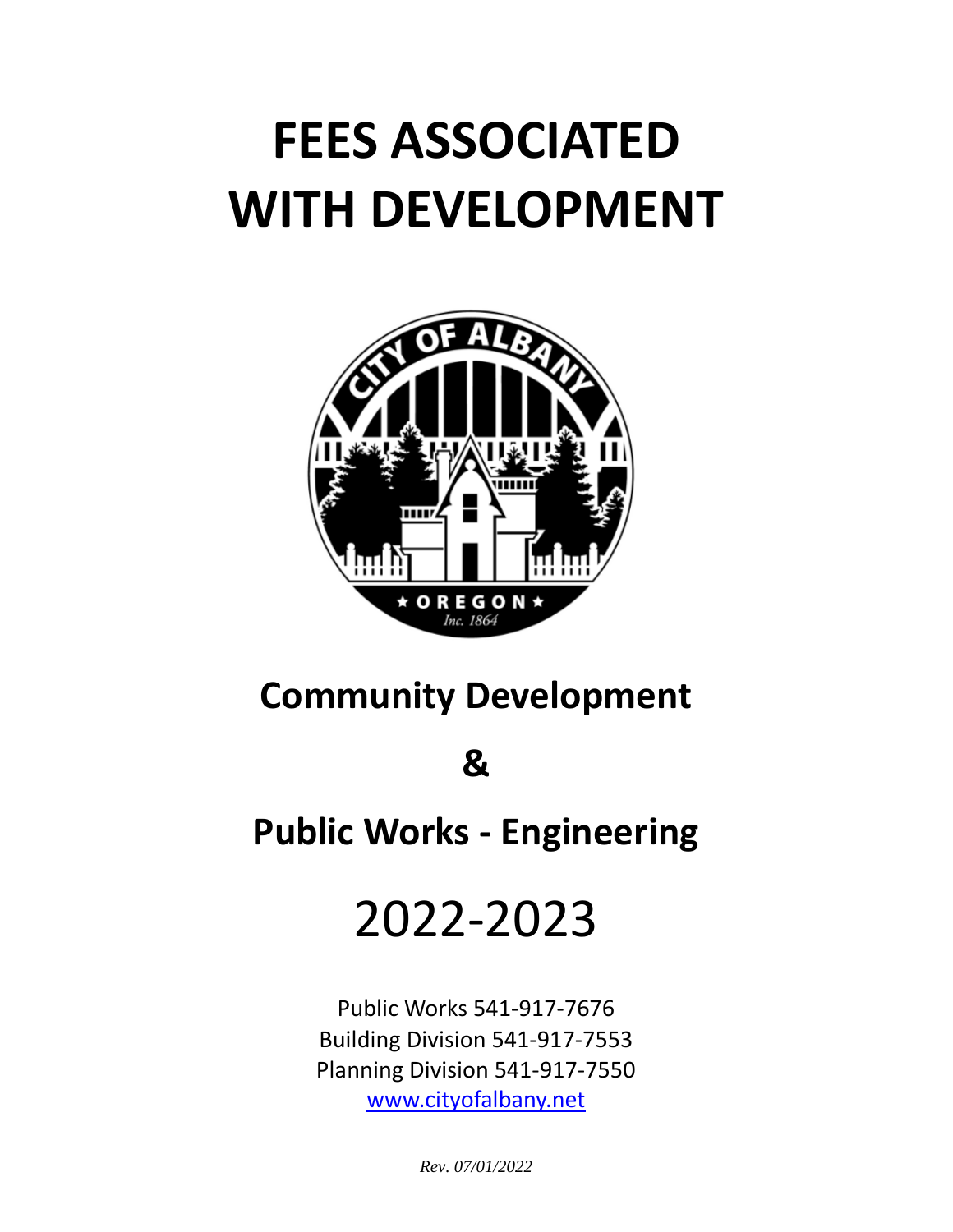# **FEES ASSOCIATED WITH DEVELOPMENT**



# **Community Development**

**&**

**Public Works - Engineering**

# 2022-2023

Public Works 541-917-7676 Building Division 541-917-7553 Planning Division 541-917-7550 [www.cityofalbany.net](http://www.cityofalbany.net/)

*Rev. 07/01/2022*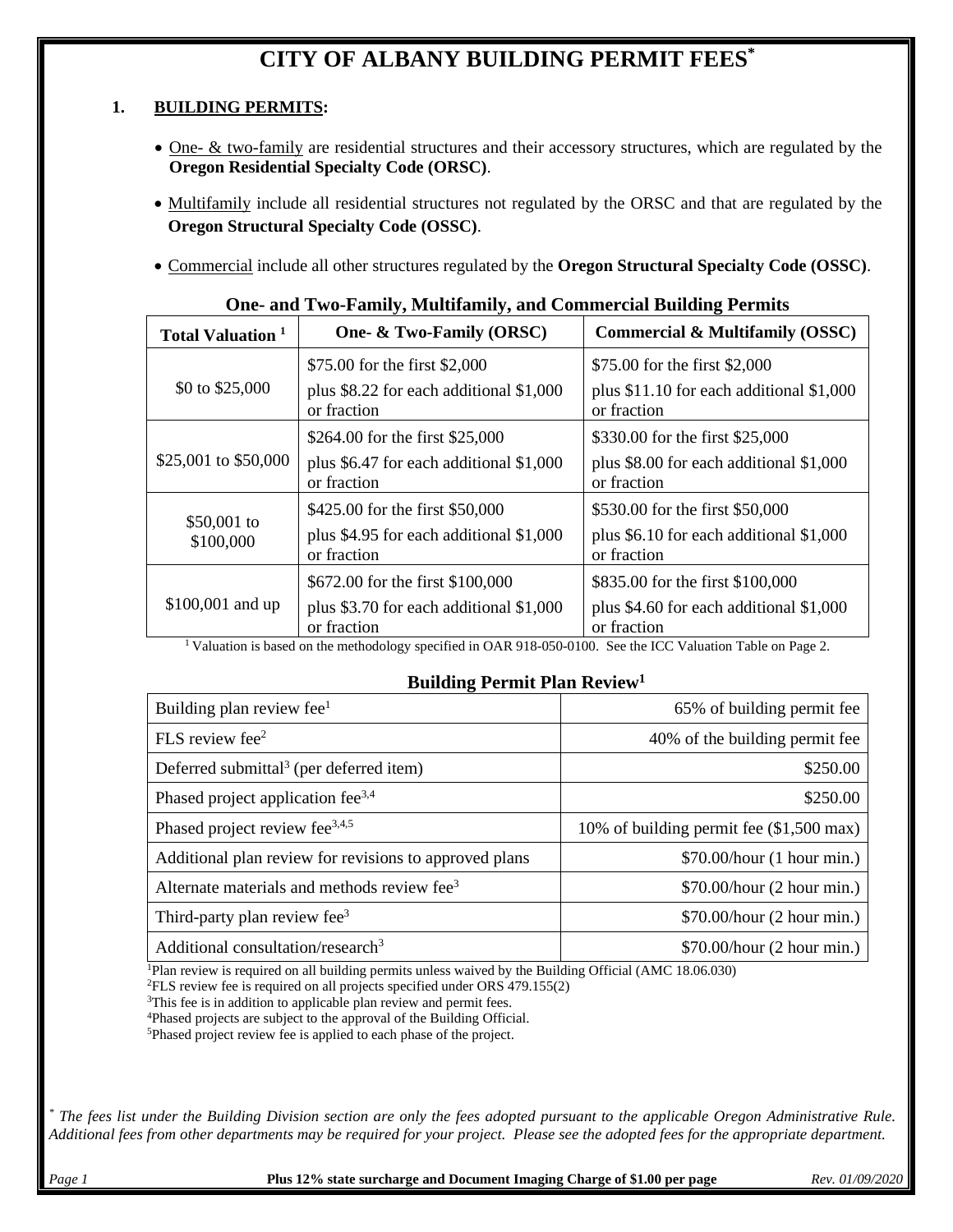# **CITY OF ALBANY BUILDING PERMIT FEES\***

## **1. BUILDING PERMITS:**

- One- & two-family are residential structures and their accessory structures, which are regulated by the **Oregon Residential Specialty Code (ORSC)**.
- Multifamily include all residential structures not regulated by the ORSC and that are regulated by the **Oregon Structural Specialty Code (OSSC)**.
- Commercial include all other structures regulated by the **Oregon Structural Specialty Code (OSSC)**.

| <b>Total Valuation</b> <sup>1</sup> | One- & Two-Family (ORSC)                               | <b>Commercial &amp; Multifamily (OSSC)</b>              |
|-------------------------------------|--------------------------------------------------------|---------------------------------------------------------|
|                                     | \$75.00 for the first \$2,000                          | \$75.00 for the first \$2,000                           |
| \$0 to $$25,000$                    | plus \$8.22 for each additional \$1,000<br>or fraction | plus \$11.10 for each additional \$1,000<br>or fraction |
|                                     | \$264.00 for the first \$25,000                        | \$330.00 for the first \$25,000                         |
| \$25,001 to \$50,000                | plus \$6.47 for each additional \$1,000<br>or fraction | plus \$8.00 for each additional \$1,000<br>or fraction  |
|                                     | \$425.00 for the first \$50,000                        | \$530.00 for the first \$50,000                         |
| \$50,001 to<br>\$100,000            | plus \$4.95 for each additional \$1,000<br>or fraction | plus \$6.10 for each additional \$1,000<br>or fraction  |
|                                     | \$672.00 for the first \$100,000                       | \$835.00 for the first \$100,000                        |
| \$100,001 and up                    | plus \$3.70 for each additional \$1,000<br>or fraction | plus \$4.60 for each additional \$1,000<br>or fraction  |

## **One- and Two-Family, Multifamily, and Commercial Building Permits**

<sup>1</sup> Valuation is based on the methodology specified in OAR 918-050-0100. See the ICC Valuation Table on Page 2.

## **Building Permit Plan Review1**

| Building plan review fee $1$                            | 65% of building permit fee                 |
|---------------------------------------------------------|--------------------------------------------|
| FLS review fee $2$                                      | 40% of the building permit fee             |
| Deferred submittal <sup>3</sup> (per deferred item)     | \$250.00                                   |
| Phased project application fee <sup>3,4</sup>           | \$250.00                                   |
| Phased project review fee <sup>3,4,5</sup>              | 10% of building permit fee $(\$1,500$ max) |
| Additional plan review for revisions to approved plans  | \$70.00/hour (1 hour min.)                 |
| Alternate materials and methods review fee <sup>3</sup> | \$70.00/hour (2 hour min.)                 |
| Third-party plan review fee <sup>3</sup>                | \$70.00/hour (2 hour min.)                 |
| Additional consultation/research <sup>3</sup>           | \$70.00/hour (2 hour min.)                 |

1Plan review is required on all building permits unless waived by the Building Official (AMC 18.06.030)

2FLS review fee is required on all projects specified under ORS 479.155(2)

<sup>3</sup>This fee is in addition to applicable plan review and permit fees.

4Phased projects are subject to the approval of the Building Official.

5Phased project review fee is applied to each phase of the project.

*\* The fees list under the Building Division section are only the fees adopted pursuant to the applicable Oregon Administrative Rule. Additional fees from other departments may be required for your project. Please see the adopted fees for the appropriate department.*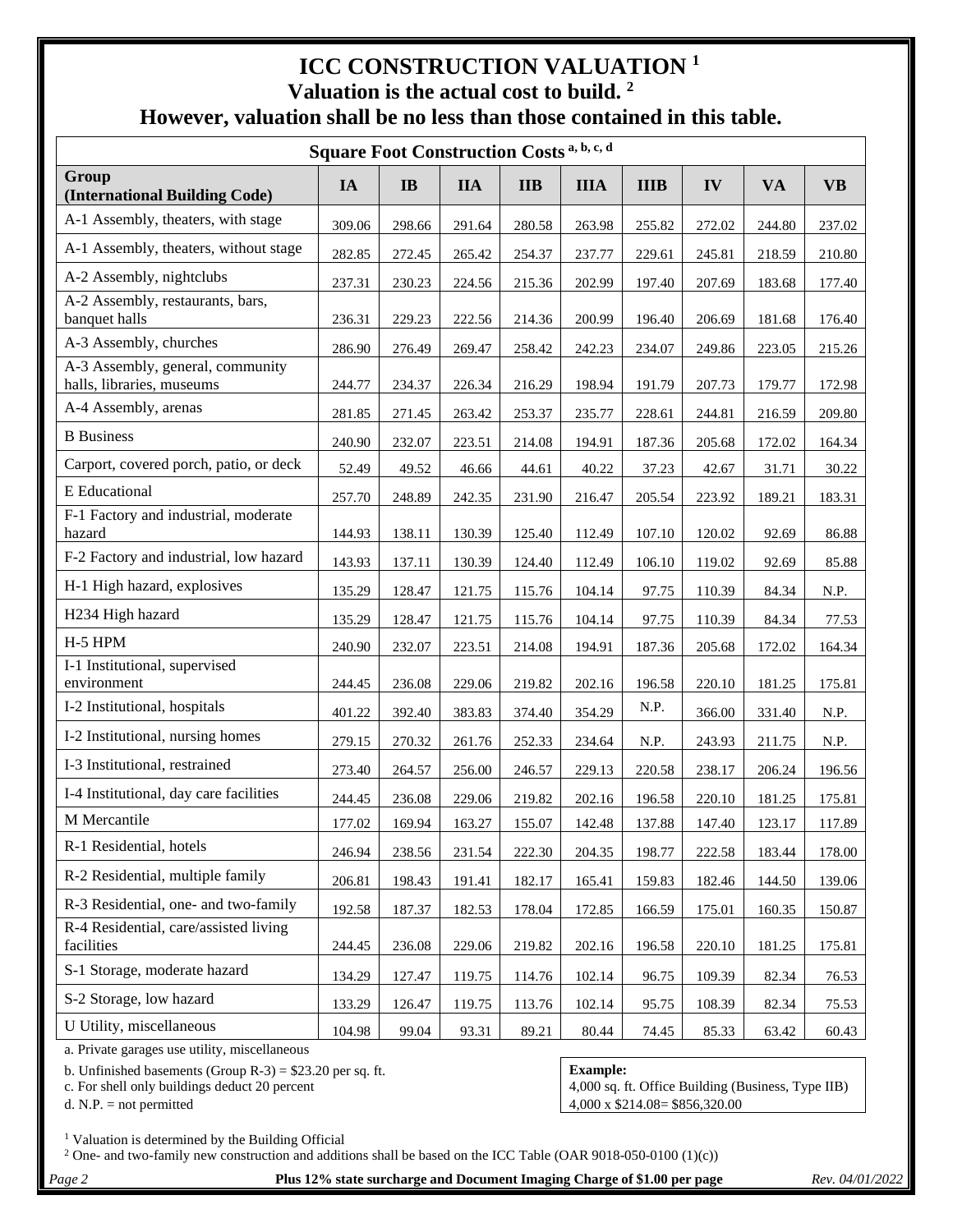# **ICC CONSTRUCTION VALUATION <sup>1</sup> Valuation is the actual cost to build. <sup>2</sup> However, valuation shall be no less than those contained in this table.**

| <b>Square Foot Construction Costs a, b, c, d</b>              |        |                        |            |            |             |             |        |           |           |
|---------------------------------------------------------------|--------|------------------------|------------|------------|-------------|-------------|--------|-----------|-----------|
| Group<br>(International Building Code)                        | IA     | $\mathbf{I}\mathbf{B}$ | <b>IIA</b> | <b>IIB</b> | <b>IIIA</b> | <b>IIIB</b> | IV     | <b>VA</b> | <b>VB</b> |
| A-1 Assembly, theaters, with stage                            | 309.06 | 298.66                 | 291.64     | 280.58     | 263.98      | 255.82      | 272.02 | 244.80    | 237.02    |
| A-1 Assembly, theaters, without stage                         | 282.85 | 272.45                 | 265.42     | 254.37     | 237.77      | 229.61      | 245.81 | 218.59    | 210.80    |
| A-2 Assembly, nightclubs                                      | 237.31 | 230.23                 | 224.56     | 215.36     | 202.99      | 197.40      | 207.69 | 183.68    | 177.40    |
| A-2 Assembly, restaurants, bars,<br>banquet halls             | 236.31 | 229.23                 | 222.56     | 214.36     | 200.99      | 196.40      | 206.69 | 181.68    | 176.40    |
| A-3 Assembly, churches                                        | 286.90 | 276.49                 | 269.47     | 258.42     | 242.23      | 234.07      | 249.86 | 223.05    | 215.26    |
| A-3 Assembly, general, community<br>halls, libraries, museums | 244.77 | 234.37                 | 226.34     | 216.29     | 198.94      | 191.79      | 207.73 | 179.77    | 172.98    |
| A-4 Assembly, arenas                                          | 281.85 | 271.45                 | 263.42     | 253.37     | 235.77      | 228.61      | 244.81 | 216.59    | 209.80    |
| <b>B</b> Business                                             | 240.90 | 232.07                 | 223.51     | 214.08     | 194.91      | 187.36      | 205.68 | 172.02    | 164.34    |
| Carport, covered porch, patio, or deck                        | 52.49  | 49.52                  | 46.66      | 44.61      | 40.22       | 37.23       | 42.67  | 31.71     | 30.22     |
| E Educational                                                 | 257.70 | 248.89                 | 242.35     | 231.90     | 216.47      | 205.54      | 223.92 | 189.21    | 183.31    |
| F-1 Factory and industrial, moderate<br>hazard                | 144.93 | 138.11                 | 130.39     | 125.40     | 112.49      | 107.10      | 120.02 | 92.69     | 86.88     |
| F-2 Factory and industrial, low hazard                        | 143.93 | 137.11                 | 130.39     | 124.40     | 112.49      | 106.10      | 119.02 | 92.69     | 85.88     |
| H-1 High hazard, explosives                                   | 135.29 | 128.47                 | 121.75     | 115.76     | 104.14      | 97.75       | 110.39 | 84.34     | N.P.      |
| H234 High hazard                                              | 135.29 | 128.47                 | 121.75     | 115.76     | 104.14      | 97.75       | 110.39 | 84.34     | 77.53     |
| H-5 HPM                                                       | 240.90 | 232.07                 | 223.51     | 214.08     | 194.91      | 187.36      | 205.68 | 172.02    | 164.34    |
| I-1 Institutional, supervised<br>environment                  | 244.45 | 236.08                 | 229.06     | 219.82     | 202.16      | 196.58      | 220.10 | 181.25    | 175.81    |
| I-2 Institutional, hospitals                                  | 401.22 | 392.40                 | 383.83     | 374.40     | 354.29      | N.P.        | 366.00 | 331.40    | N.P.      |
| I-2 Institutional, nursing homes                              | 279.15 | 270.32                 | 261.76     | 252.33     | 234.64      | N.P.        | 243.93 | 211.75    | N.P.      |
| I-3 Institutional, restrained                                 | 273.40 | 264.57                 | 256.00     | 246.57     | 229.13      | 220.58      | 238.17 | 206.24    | 196.56    |
| I-4 Institutional, day care facilities                        | 244.45 | 236.08                 | 229.06     | 219.82     | 202.16      | 196.58      | 220.10 | 181.25    | 175.81    |
| M Mercantile                                                  | 177.02 | 169.94                 | 163.27     | 155.07     | 142.48      | 137.88      | 147.40 | 123.17    | 117.89    |
| R-1 Residential, hotels                                       | 246.94 | 238.56                 | 231.54     | 222.30     | 204.35      | 198.77      | 222.58 | 183.44    | 178.00    |
| R-2 Residential, multiple family                              | 206.81 | 198.43                 | 191.41     | 182.17     | 165.41      | 159.83      | 182.46 | 144.50    | 139.06    |
| R-3 Residential, one- and two-family                          | 192.58 | 187.37                 | 182.53     | 178.04     | 172.85      | 166.59      | 175.01 | 160.35    | 150.87    |
| R-4 Residential, care/assisted living<br>facilities           | 244.45 | 236.08                 | 229.06     | 219.82     | 202.16      | 196.58      | 220.10 | 181.25    | 175.81    |
| S-1 Storage, moderate hazard                                  | 134.29 | 127.47                 | 119.75     | 114.76     | 102.14      | 96.75       | 109.39 | 82.34     | 76.53     |
| S-2 Storage, low hazard                                       | 133.29 | 126.47                 | 119.75     | 113.76     | 102.14      | 95.75       | 108.39 | 82.34     | 75.53     |
| U Utility, miscellaneous                                      | 104.98 | 99.04                  | 93.31      | 89.21      | 80.44       | 74.45       | 85.33  | 63.42     | 60.43     |

a. Private garages use utility, miscellaneous

b. Unfinished basements (Group R-3) =  $$23.20$  per sq. ft. **Example:**<br>**Example:**<br>**Example:**<br>**Example:**<br>**Example:** 

<sup>1</sup> Valuation is determined by the Building Official

<sup>2</sup> One- and two-family new construction and additions shall be based on the ICC Table (OAR 9018-050-0100 (1)(c))

*Page 2* **Plus 12% state surcharge and Document Imaging Charge of \$1.00 per page** *Rev. 04/01/2022*

4,000 sq. ft. Office Building (Business, Type IIB) d. N.P. = not permitted  $4,000 \times \$214.08 = \$856,320.00$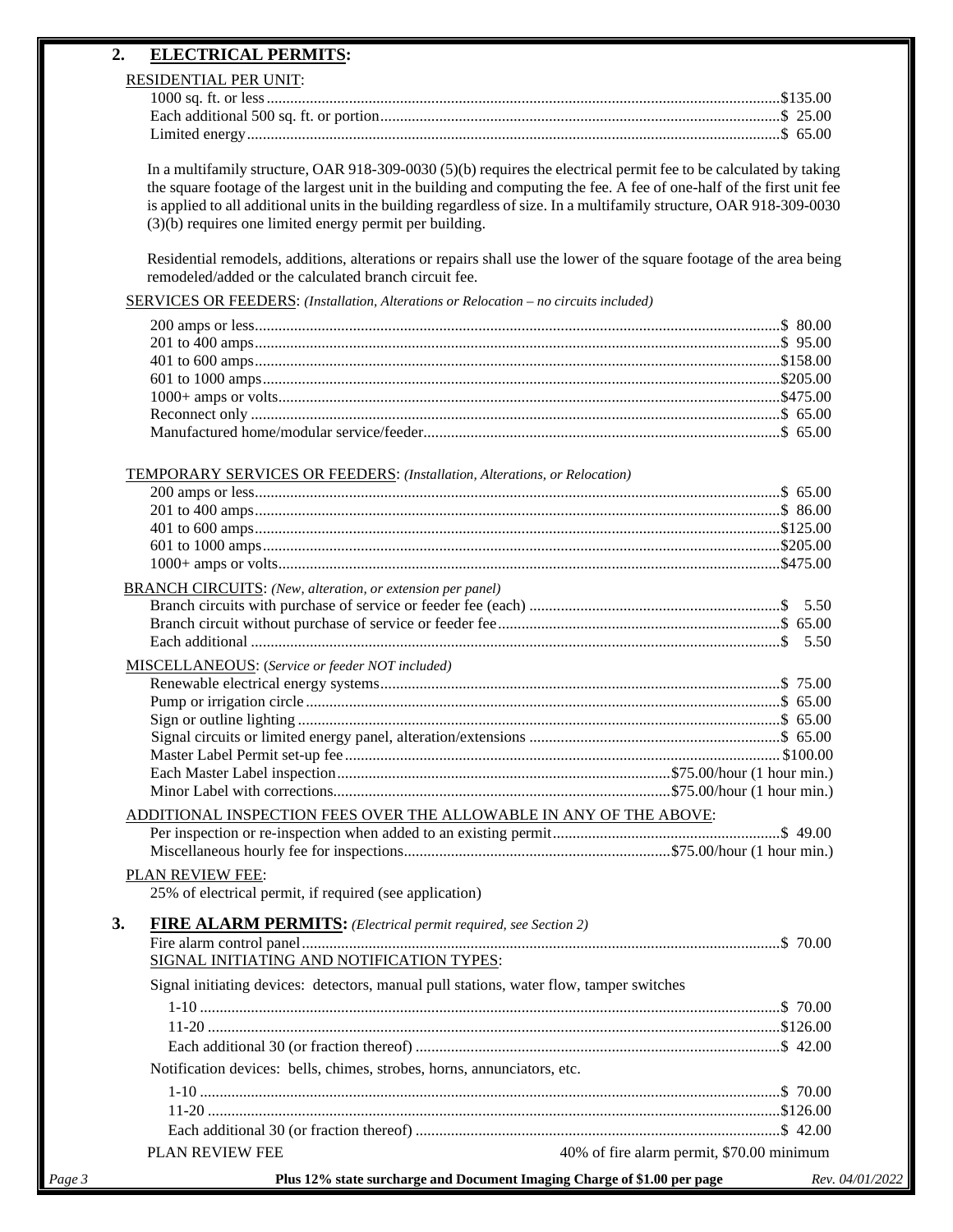## **2. ELECTRICAL PERMITS:**

## RESIDENTIAL PER UNIT:

In a multifamily structure, OAR 918-309-0030 (5)(b) requires the electrical permit fee to be calculated by taking the square footage of the largest unit in the building and computing the fee. A fee of one-half of the first unit fee is applied to all additional units in the building regardless of size. In a multifamily structure, OAR 918-309-0030 (3)(b) requires one limited energy permit per building.

Residential remodels, additions, alterations or repairs shall use the lower of the square footage of the area being remodeled/added or the calculated branch circuit fee.

SERVICES OR FEEDERS: *(Installation, Alterations or Relocation – no circuits included)*

| <b>TEMPORARY SERVICES OR FEEDERS: (Installation, Alterations, or Relocation)</b> |  |
|----------------------------------------------------------------------------------|--|
|                                                                                  |  |
|                                                                                  |  |
|                                                                                  |  |
|                                                                                  |  |
|                                                                                  |  |
|                                                                                  |  |
| <b>BRANCH CIRCUITS:</b> (New, alteration, or extension per panel)                |  |
|                                                                                  |  |
|                                                                                  |  |
|                                                                                  |  |
| MISCELLANEOUS: (Service or feeder NOT included)                                  |  |
|                                                                                  |  |
|                                                                                  |  |

Pump or irrigation circle .........................................................................................................................\$ 65.00 Sign or outline lighting ...........................................................................................................................\$ 65.00 Signal circuits or limited energy panel, alteration/extensions ................................................................\$ 65.00 Master Label Permit set-up fee ............................................................................................................... \$100.00 Each Master Label inspection.....................................................................................\$75.00/hour (1 hour min.)

Minor Label with corrections......................................................................................\$75.00/hour (1 hour min.)

## ADDITIONAL INSPECTION FEES OVER THE ALLOWABLE IN ANY OF THE ABOVE:

#### PLAN REVIEW FEE:

25% of electrical permit, if required (see application)

| Page 3 | Plus 12% state surcharge and Document Imaging Charge of \$1.00 per page                 |                                           | Rev. 04/01/2022 |
|--------|-----------------------------------------------------------------------------------------|-------------------------------------------|-----------------|
|        | <b>PLAN REVIEW FEE</b>                                                                  | 40% of fire alarm permit, \$70.00 minimum |                 |
|        |                                                                                         |                                           |                 |
|        |                                                                                         |                                           |                 |
|        |                                                                                         |                                           |                 |
|        | Notification devices: bells, chimes, strobes, horns, annunciators, etc.                 |                                           |                 |
|        |                                                                                         |                                           |                 |
|        |                                                                                         |                                           |                 |
|        |                                                                                         |                                           |                 |
|        | Signal initiating devices: detectors, manual pull stations, water flow, tamper switches |                                           |                 |
|        | SIGNAL INITIATING AND NOTIFICATION TYPES:                                               |                                           |                 |
|        |                                                                                         |                                           |                 |
| 3.     | <b>FIRE ALARM PERMITS:</b> (Electrical permit required, see Section 2)                  |                                           |                 |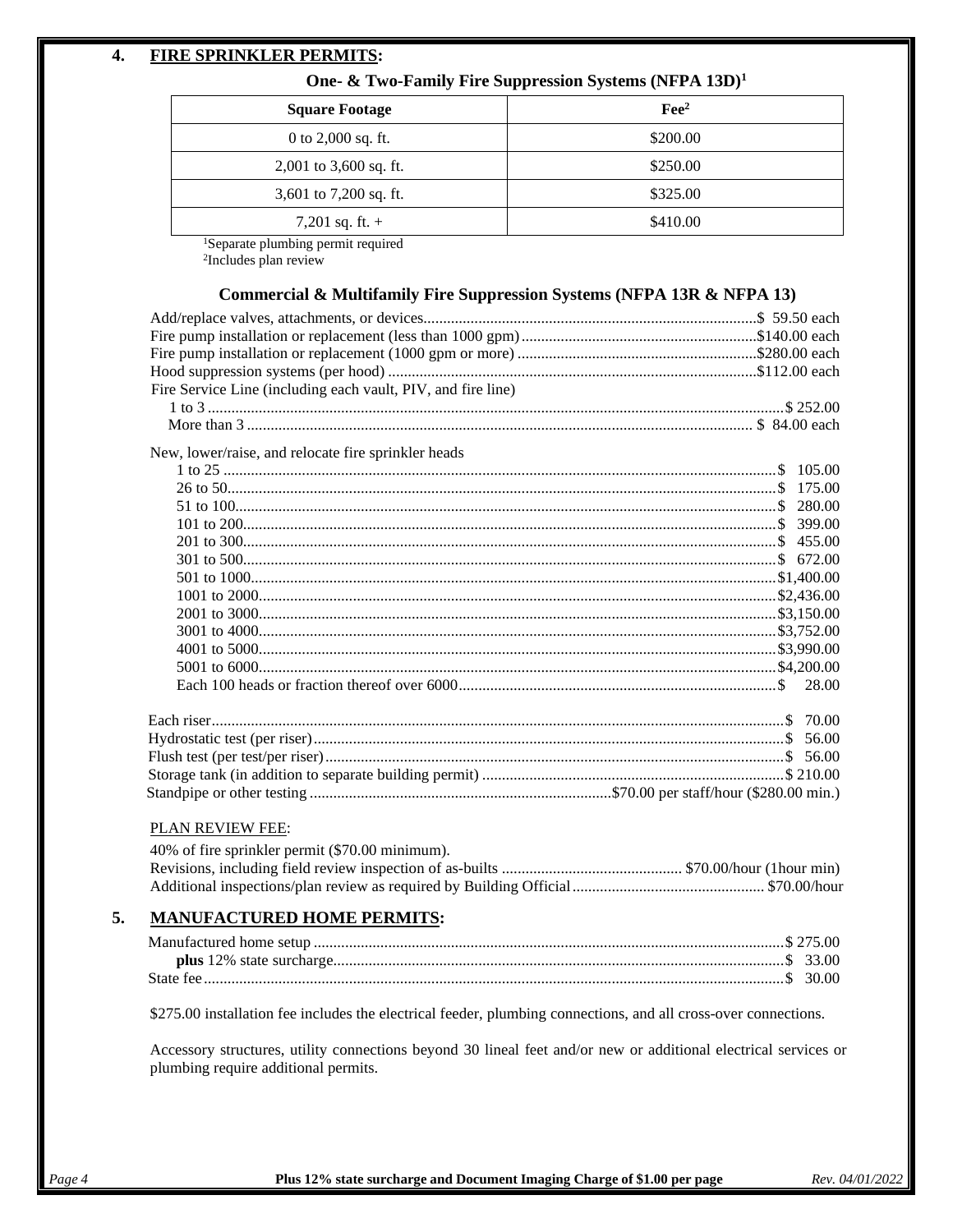## **4. FIRE SPRINKLER PERMITS:**

## **One- & Two-Family Fire Suppression Systems (NFPA 13D)1**

| <b>Square Footage</b>    | $\text{Fe}^2$ |
|--------------------------|---------------|
| 0 to $2,000$ sq. ft.     | \$200.00      |
| $2,001$ to 3,600 sq. ft. | \$250.00      |
| 3,601 to 7,200 sq. ft.   | \$325.00      |
| 7,201 sq. ft. $+$        | \$410.00      |

1Separate plumbing permit required

2Includes plan review

## **Commercial & Multifamily Fire Suppression Systems (NFPA 13R & NFPA 13)**

| Fire Service Line (including each vault, PIV, and fire line) |  |
|--------------------------------------------------------------|--|
|                                                              |  |
| New, lower/raise, and relocate fire sprinkler heads          |  |
|                                                              |  |
|                                                              |  |
|                                                              |  |
|                                                              |  |
|                                                              |  |
|                                                              |  |
|                                                              |  |
|                                                              |  |
|                                                              |  |
|                                                              |  |
|                                                              |  |
|                                                              |  |
|                                                              |  |
|                                                              |  |
|                                                              |  |
|                                                              |  |
|                                                              |  |
|                                                              |  |
|                                                              |  |

## PLAN REVIEW FEE:

| 40% of fire sprinkler permit (\$70.00 minimum). |  |
|-------------------------------------------------|--|
|                                                 |  |
|                                                 |  |

## **5. MANUFACTURED HOME PERMITS:**

\$275.00 installation fee includes the electrical feeder, plumbing connections, and all cross-over connections.

Accessory structures, utility connections beyond 30 lineal feet and/or new or additional electrical services or plumbing require additional permits.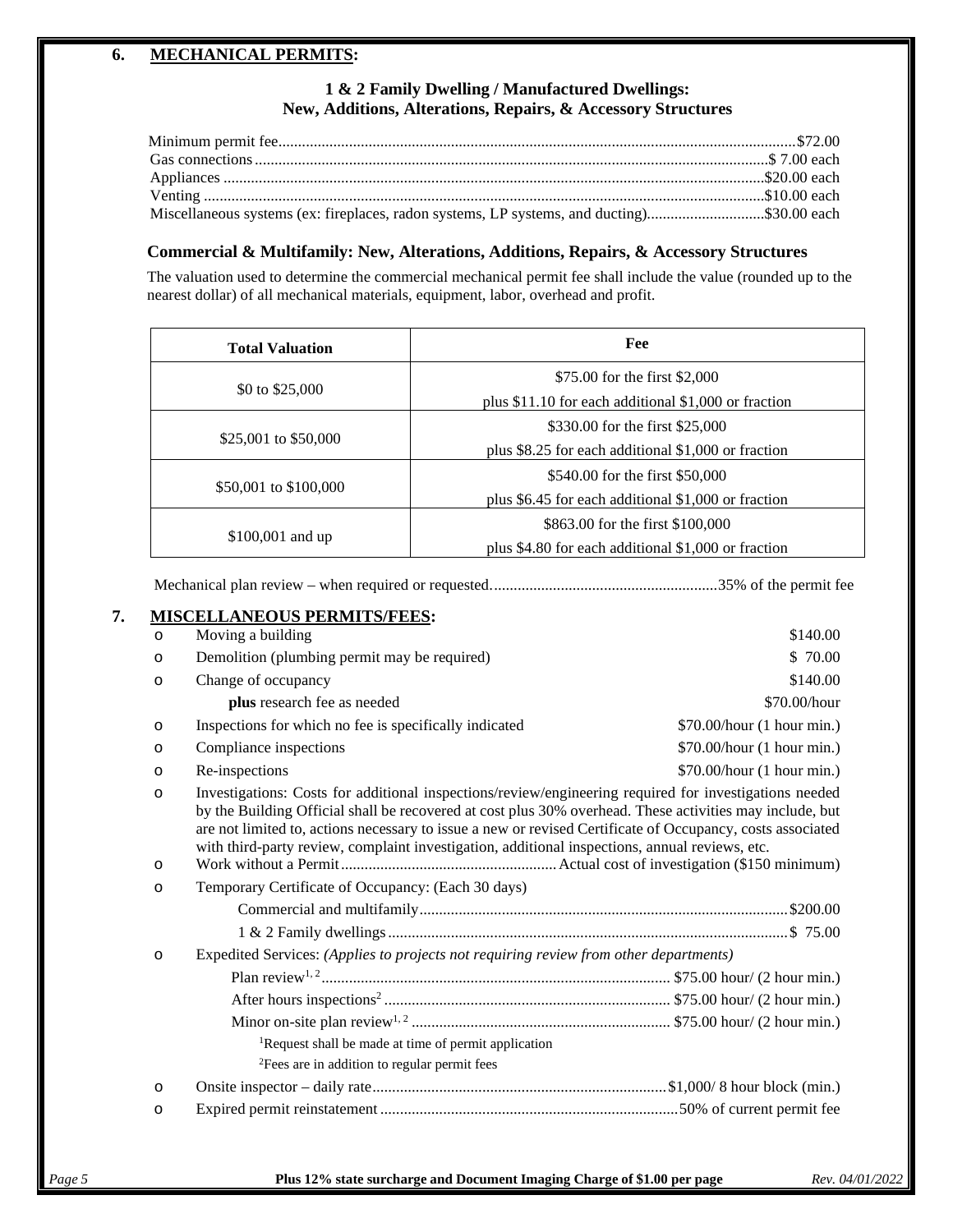## **6. MECHANICAL PERMITS:**

## **1 & 2 Family Dwelling / Manufactured Dwellings: New, Additions, Alterations, Repairs, & Accessory Structures**

| Miscellaneous systems (ex: fireplaces, radon systems, LP systems, and ducting)\$30.00 each |  |
|--------------------------------------------------------------------------------------------|--|

## **Commercial & Multifamily: New, Alterations, Additions, Repairs, & Accessory Structures**

The valuation used to determine the commercial mechanical permit fee shall include the value (rounded up to the nearest dollar) of all mechanical materials, equipment, labor, overhead and profit.

| <b>Total Valuation</b> | Fee                                                                                     |  |
|------------------------|-----------------------------------------------------------------------------------------|--|
| \$0 to \$25,000        | \$75.00 for the first \$2,000<br>plus \$11.10 for each additional $$1,000$ or fraction  |  |
| \$25,001 to \$50,000   | \$330.00 for the first \$25,000<br>plus \$8.25 for each additional \$1,000 or fraction  |  |
| \$50,001 to \$100,000  | \$540.00 for the first \$50,000<br>plus \$6.45 for each additional \$1,000 or fraction  |  |
| $$100,001$ and up      | \$863.00 for the first \$100,000<br>plus \$4.80 for each additional \$1,000 or fraction |  |

Mechanical plan review – when required or requested..........................................................35% of the permit fee

| $\circ$            | Moving a building                                                                                                                                                                                                                                                                                                                                                                                                                  | \$140.00                   |
|--------------------|------------------------------------------------------------------------------------------------------------------------------------------------------------------------------------------------------------------------------------------------------------------------------------------------------------------------------------------------------------------------------------------------------------------------------------|----------------------------|
| $\circ$            | Demolition (plumbing permit may be required)                                                                                                                                                                                                                                                                                                                                                                                       | \$70.00                    |
| $\circ$            | Change of occupancy                                                                                                                                                                                                                                                                                                                                                                                                                | \$140.00                   |
|                    | plus research fee as needed                                                                                                                                                                                                                                                                                                                                                                                                        | \$70.00/hour               |
| $\circ$            | Inspections for which no fee is specifically indicated                                                                                                                                                                                                                                                                                                                                                                             | \$70.00/hour (1 hour min.) |
| $\circ$            | Compliance inspections                                                                                                                                                                                                                                                                                                                                                                                                             | \$70.00/hour (1 hour min.) |
| $\circ$            | Re-inspections                                                                                                                                                                                                                                                                                                                                                                                                                     | \$70.00/hour (1 hour min.) |
| $\circ$<br>$\circ$ | Investigations: Costs for additional inspections/review/engineering required for investigations needed<br>by the Building Official shall be recovered at cost plus 30% overhead. These activities may include, but<br>are not limited to, actions necessary to issue a new or revised Certificate of Occupancy, costs associated<br>with third-party review, complaint investigation, additional inspections, annual reviews, etc. |                            |
| $\circ$            | Temporary Certificate of Occupancy: (Each 30 days)                                                                                                                                                                                                                                                                                                                                                                                 |                            |
|                    |                                                                                                                                                                                                                                                                                                                                                                                                                                    |                            |
|                    |                                                                                                                                                                                                                                                                                                                                                                                                                                    |                            |
| $\circ$            | Expedited Services: (Applies to projects not requiring review from other departments)                                                                                                                                                                                                                                                                                                                                              |                            |
|                    |                                                                                                                                                                                                                                                                                                                                                                                                                                    |                            |
|                    |                                                                                                                                                                                                                                                                                                                                                                                                                                    |                            |
|                    |                                                                                                                                                                                                                                                                                                                                                                                                                                    |                            |
|                    | <sup>1</sup> Request shall be made at time of permit application                                                                                                                                                                                                                                                                                                                                                                   |                            |
|                    | <sup>2</sup> Fees are in addition to regular permit fees                                                                                                                                                                                                                                                                                                                                                                           |                            |
|                    |                                                                                                                                                                                                                                                                                                                                                                                                                                    |                            |
| $\circ$            |                                                                                                                                                                                                                                                                                                                                                                                                                                    |                            |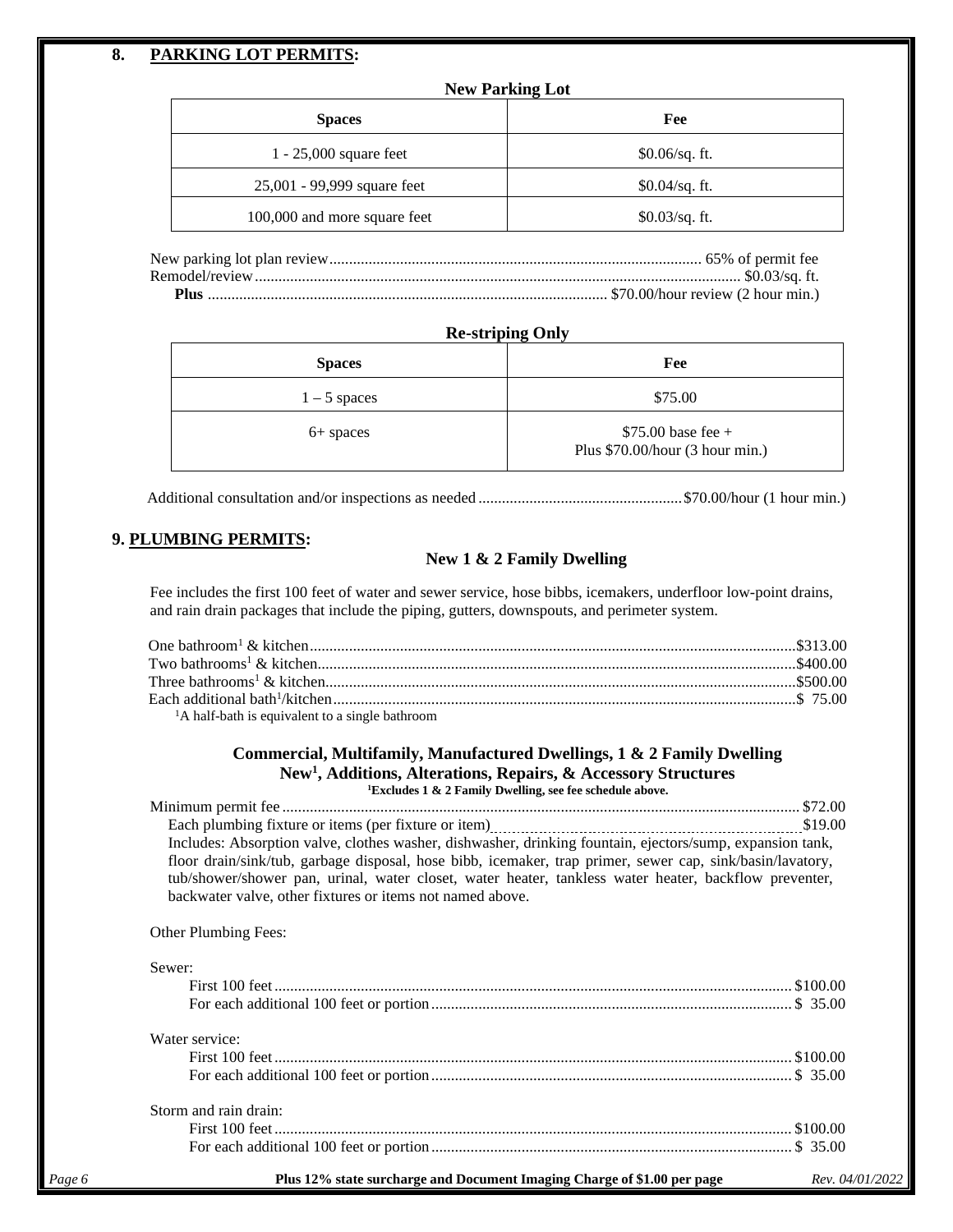## **8. PARKING LOT PERMITS:**

| Fee              |
|------------------|
| $$0.06/sq.$ ft.  |
| $$0.04$ /sq. ft. |
| $$0.03/sq.$ ft.  |
|                  |

Remodel/review............................................................................................................................ \$0.03/sq. ft. **Plus** ...................................................................................................... \$70.00/hour review (2 hour min.)

### **Re-striping Only**

| <b>Spaces</b>  | Fee                                                     |
|----------------|---------------------------------------------------------|
| $1 - 5$ spaces | \$75.00                                                 |
| 6+ spaces      | $$75.00$ base fee +<br>Plus $$70.00/hour (3 hour min.)$ |

Additional consultation and/or inspections as needed ....................................................\$70.00/hour (1 hour min.)

## **9. PLUMBING PERMITS:**

## **New 1 & 2 Family Dwelling**

Fee includes the first 100 feet of water and sewer service, hose bibbs, icemakers, underfloor low-point drains, and rain drain packages that include the piping, gutters, downspouts, and perimeter system.

| <sup>1</sup> A half-bath is equivalent to a single bathroom |  |
|-------------------------------------------------------------|--|

#### **Commercial, Multifamily, Manufactured Dwellings, 1 & 2 Family Dwelling New1 , Additions, Alterations, Repairs, & Accessory Structures 1 Excludes 1 & 2 Family Dwelling, see fee schedule above.**

Minimum permit fee .................................................................................................................................... \$72.00 Each plumbing fixture or items (per fixture or item) \$19.00 Includes: Absorption valve, clothes washer, dishwasher, drinking fountain, ejectors/sump, expansion tank, floor drain/sink/tub, garbage disposal, hose bibb, icemaker, trap primer, sewer cap, sink/basin/lavatory, tub/shower/shower pan, urinal, water closet, water heater, tankless water heater, backflow preventer, backwater valve, other fixtures or items not named above.

Other Plumbing Fees:

|        | Sewer:                                                                  |                 |
|--------|-------------------------------------------------------------------------|-----------------|
|        |                                                                         |                 |
|        |                                                                         |                 |
|        | Water service:                                                          |                 |
|        |                                                                         |                 |
|        |                                                                         |                 |
|        | Storm and rain drain:                                                   |                 |
|        |                                                                         |                 |
|        |                                                                         |                 |
| Page 6 | Plus 12% state surcharge and Document Imaging Charge of \$1.00 per page | Rev. 04/01/2022 |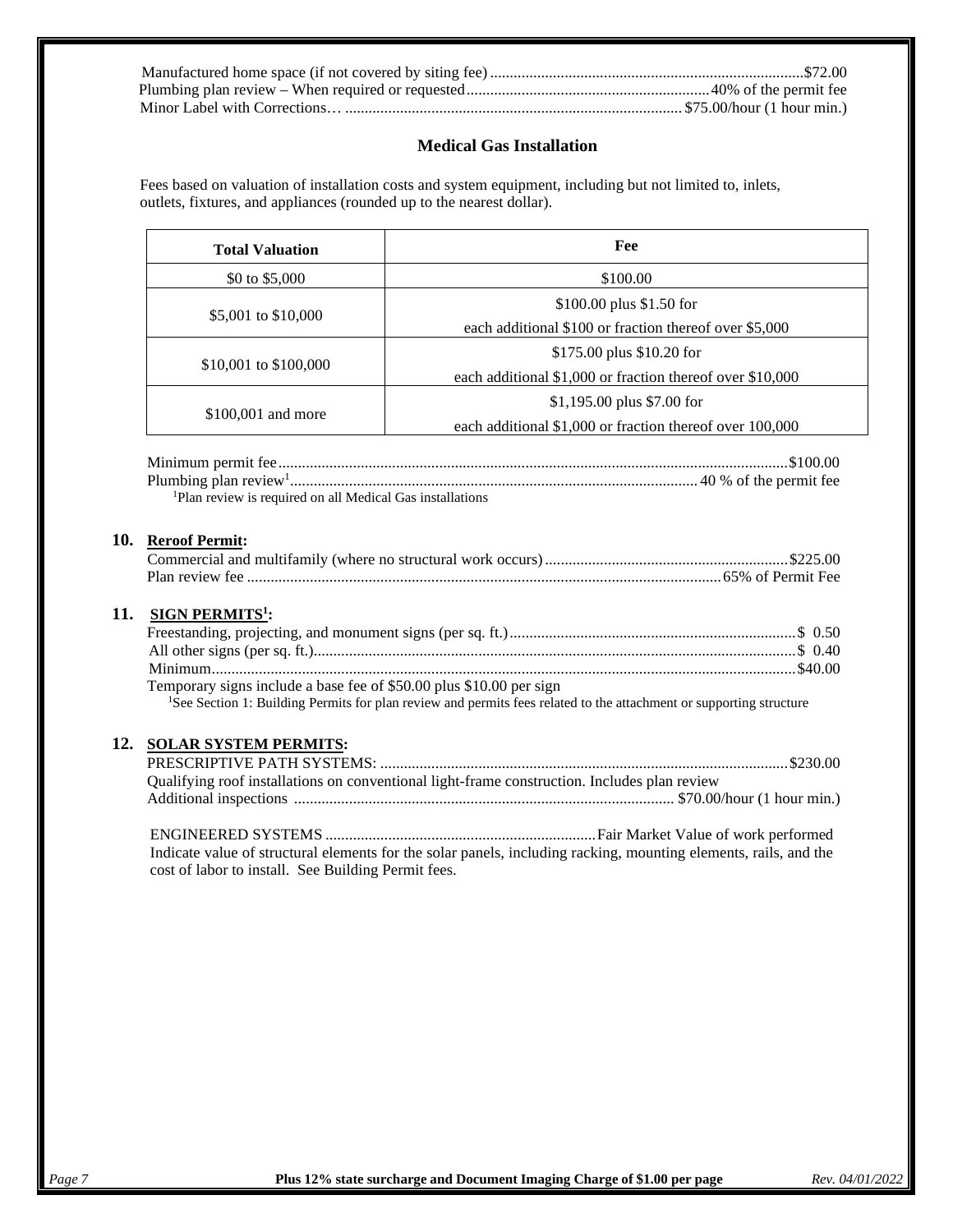## **Medical Gas Installation**

Fees based on valuation of installation costs and system equipment, including but not limited to, inlets, outlets, fixtures, and appliances (rounded up to the nearest dollar).

| <b>Total Valuation</b>                                                                                | Fee                                                                                                                             |
|-------------------------------------------------------------------------------------------------------|---------------------------------------------------------------------------------------------------------------------------------|
| \$0 to \$5,000                                                                                        | \$100.00                                                                                                                        |
|                                                                                                       | \$100.00 plus \$1.50 for                                                                                                        |
| \$5,001 to \$10,000                                                                                   | each additional \$100 or fraction thereof over \$5,000                                                                          |
|                                                                                                       | \$175.00 plus \$10.20 for                                                                                                       |
| \$10,001 to \$100,000                                                                                 | each additional \$1,000 or fraction thereof over \$10,000                                                                       |
|                                                                                                       | $$1,195.00$ plus \$7.00 for                                                                                                     |
| \$100,001 and more                                                                                    | each additional \$1,000 or fraction thereof over 100,000                                                                        |
|                                                                                                       |                                                                                                                                 |
|                                                                                                       |                                                                                                                                 |
| <sup>1</sup> Plan review is required on all Medical Gas installations<br>10.<br><b>Reroof Permit:</b> |                                                                                                                                 |
|                                                                                                       |                                                                                                                                 |
| <b>SIGN PERMITS<sup>1</sup>:</b>                                                                      |                                                                                                                                 |
|                                                                                                       |                                                                                                                                 |
|                                                                                                       |                                                                                                                                 |
| Temporary signs include a base fee of \$50.00 plus \$10.00 per sign                                   |                                                                                                                                 |
|                                                                                                       | <sup>1</sup> See Section 1: Building Permits for plan review and permits fees related to the attachment or supporting structure |
|                                                                                                       |                                                                                                                                 |
| <b>SOLAR SYSTEM PERMITS:</b>                                                                          |                                                                                                                                 |
|                                                                                                       | Qualifying roof installations on conventional light-frame construction. Includes plan review                                    |

Indicate value of structural elements for the solar panels, including racking, mounting elements, rails, and the cost of labor to install. See Building Permit fees.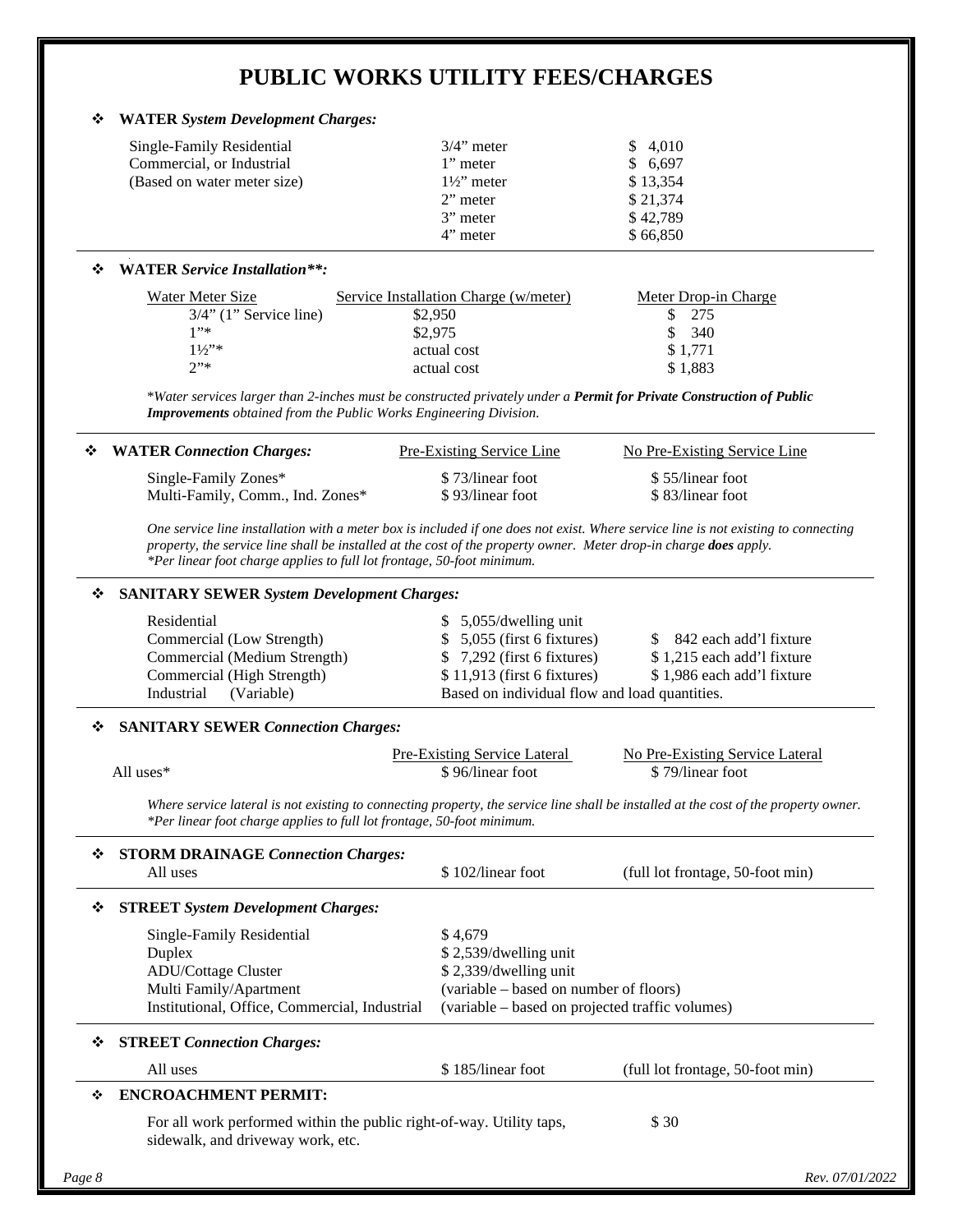## **PUBLIC WORKS UTILITY FEES/CHARGES**

## **WATER** *System Development Charges:*

| Single-Family Residential<br>Commercial, or Industrial<br>(Based on water meter size) | $3/4$ " meter<br>1" meter<br>$1\frac{1}{2}$ meter<br>$2$ " meter<br>3" meter | \$4,010<br>\$6,697<br>\$13,354<br>\$21,374<br>\$42,789 |
|---------------------------------------------------------------------------------------|------------------------------------------------------------------------------|--------------------------------------------------------|
|                                                                                       | 4" meter                                                                     | \$66,850                                               |

#### **WATER** *Service Installation\*\*:*

| Water Meter Size          | Service Installation Charge (w/meter) | Meter Drop-in Charge |
|---------------------------|---------------------------------------|----------------------|
| $3/4$ " (1" Service line) | \$2,950                               | 275                  |
| 1"                        | \$2,975                               | 340                  |
| $11/2$ <sup>2</sup>       | actual cost                           | \$1,771              |
| 2"                        | actual cost                           | \$1.883              |

\**Water services larger than 2-inches must be constructed privately under a Permit for Private Construction of Public Improvements obtained from the Public Works Engineering Division.*

| ❖ WATER Connection Charges:      | Pre-Existing Service Line | No Pre-Existing Service Line |
|----------------------------------|---------------------------|------------------------------|
| Single-Family Zones*             | \$73/linear foot          | \$55/linear foot             |
| Multi-Family, Comm., Ind. Zones* | \$93/linear foot          | \$83/linear foot             |

*One service line installation with a meter box is included if one does not exist. Where service line is not existing to connecting property, the service line shall be installed at the cost of the property owner. Meter drop-in charge does apply. \*Per linear foot charge applies to full lot frontage, 50-foot minimum.*

### **SANITARY SEWER** *System Development Charges:*

| Residential                  | $$5,055/d$ welling unit                                    |
|------------------------------|------------------------------------------------------------|
| Commercial (Low Strength)    | $$5,055$ (first 6 fixtures)<br>\$ 842 each add'l fixture   |
| Commercial (Medium Strength) | \$1,215 each add'l fixture<br>$$7,292$ (first 6 fixtures)  |
| Commercial (High Strength)   | \$1,986 each add'l fixture<br>$$11,913$ (first 6 fixtures) |
| Industrial<br>(Variable)     | Based on individual flow and load quantities.              |

### **SANITARY SEWER** *Connection Charges:*

|              | Pre-Existing Service Lateral | No Pre-Existing Service Lateral |
|--------------|------------------------------|---------------------------------|
| All uses $*$ | \$96/linear foot             | \$79/linear foot                |

*Where service lateral is not existing to connecting property, the service line shall be installed at the cost of the property owner. \*Per linear foot charge applies to full lot frontage, 50-foot minimum.*

| <b>STORM DRAINAGE Connection Charges:</b> | \$102/linear foot                                                                                                                                                                                                                                   | (full lot frontage, 50-foot min)                                     |
|-------------------------------------------|-----------------------------------------------------------------------------------------------------------------------------------------------------------------------------------------------------------------------------------------------------|----------------------------------------------------------------------|
|                                           |                                                                                                                                                                                                                                                     |                                                                      |
|                                           | \$4,679                                                                                                                                                                                                                                             |                                                                      |
|                                           | \$2,539/dwelling unit                                                                                                                                                                                                                               |                                                                      |
|                                           | \$2,339/dwelling unit                                                                                                                                                                                                                               |                                                                      |
|                                           | (variable – based on number of floors)                                                                                                                                                                                                              |                                                                      |
|                                           |                                                                                                                                                                                                                                                     | (variable – based on projected traffic volumes)                      |
|                                           |                                                                                                                                                                                                                                                     |                                                                      |
|                                           | \$185/linear foot                                                                                                                                                                                                                                   | (full lot frontage, 50-foot min)                                     |
|                                           |                                                                                                                                                                                                                                                     |                                                                      |
| sidewalk, and driveway work, etc.         |                                                                                                                                                                                                                                                     | \$30                                                                 |
|                                           | <b>STREET System Development Charges:</b><br>Single-Family Residential<br><b>ADU/Cottage Cluster</b><br>Multi Family/Apartment<br>Institutional, Office, Commercial, Industrial<br><b>STREET</b> Connection Charges:<br><b>ENCROACHMENT PERMIT:</b> | For all work performed within the public right-of-way. Utility taps, |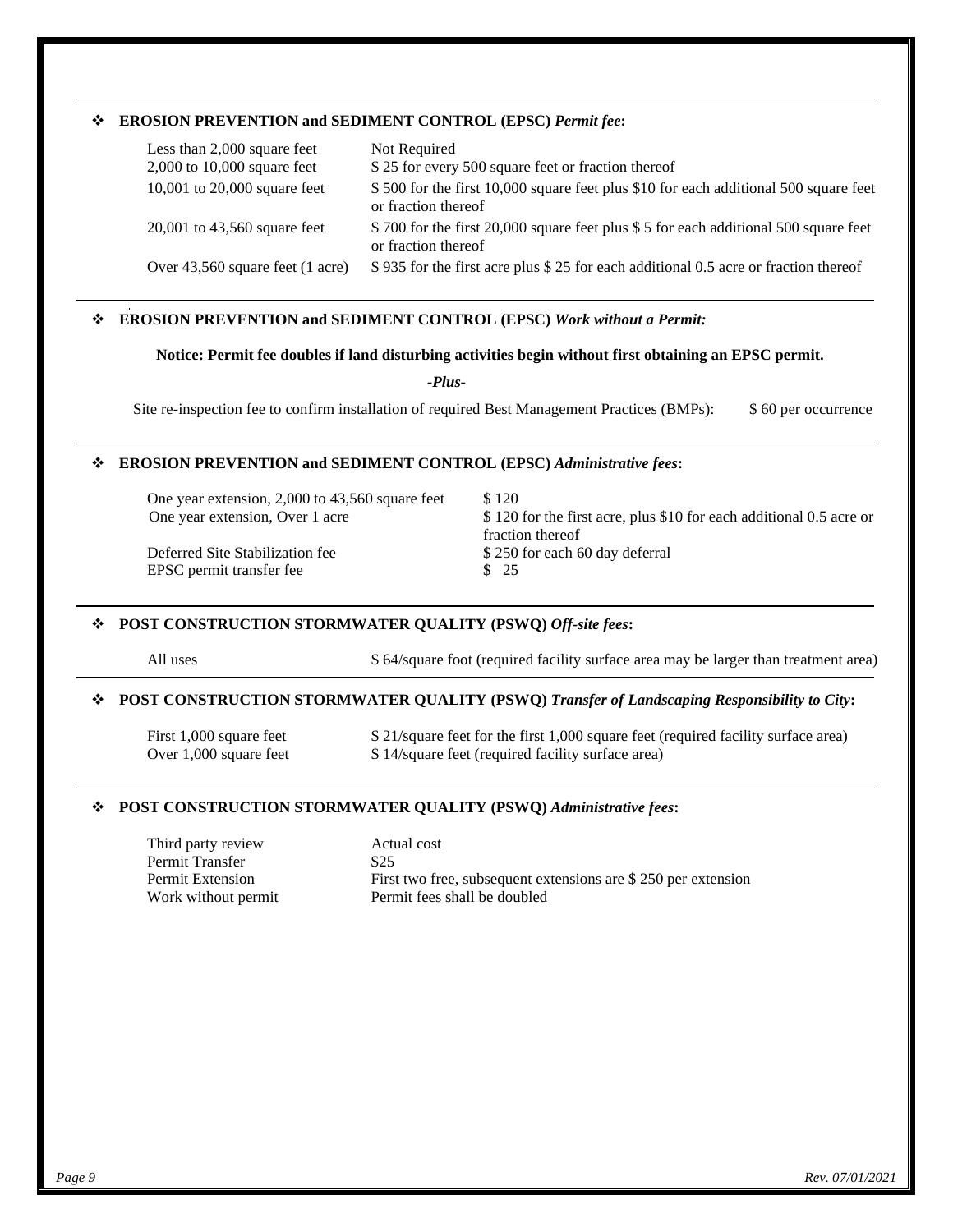### **EROSION PREVENTION and SEDIMENT CONTROL (EPSC)** *Permit fee***:**

| Less than 2,000 square feet<br>2,000 to 10,000 square feet | Not Required<br>\$25 for every 500 square feet or fraction thereof                                          |
|------------------------------------------------------------|-------------------------------------------------------------------------------------------------------------|
| 10,001 to $20,000$ square feet                             | \$500 for the first 10,000 square feet plus \$10 for each additional 500 square feet<br>or fraction thereof |
| $20,001$ to $43,560$ square feet                           | \$700 for the first 20,000 square feet plus \$5 for each additional 500 square feet<br>or fraction thereof  |
| Over 43,560 square feet (1 acre)                           | \$935 for the first acre plus \$25 for each additional 0.5 acre or fraction thereof                         |

## **EROSION PREVENTION and SEDIMENT CONTROL (EPSC)** *Work without a Permit:*

#### **Notice: Permit fee doubles if land disturbing activities begin without first obtaining an EPSC permit.**

*-Plus-*

Site re-inspection fee to confirm installation of required Best Management Practices (BMPs): \$ 60 per occurrence

#### **EROSION PREVENTION and SEDIMENT CONTROL (EPSC)** *Administrative fees***:**

One year extension, 2,000 to  $43,560$  square feet  $$120$ 

EPSC permit transfer fee  $\qquad$  \$ 25

One year extension, Over 1 acre  $$ 120$  for the first acre, plus \$10 for each additional 0.5 acre or fraction thereof Deferred Site Stabilization fee  $$ 250$  for each 60 day deferral

#### **POST CONSTRUCTION STORMWATER QUALITY (PSWQ)** *Off-site fees***:**

All uses \$64/square foot (required facility surface area may be larger than treatment area)

#### **POST CONSTRUCTION STORMWATER QUALITY (PSWQ)** *Transfer of Landscaping Responsibility to City***:**

First 1,000 square feet \$ 21/square feet for the first 1,000 square feet (required facility surface area) Over 1,000 square feet \$ 14/square feet (required facility surface area)

#### **POST CONSTRUCTION STORMWATER QUALITY (PSWQ)** *Administrative fees***:**

Third party review Actual cost Permit Transfer \$25

Permit Extension First two free, subsequent extensions are \$ 250 per extension<br>Work without permit Permit fees shall be doubled Permit fees shall be doubled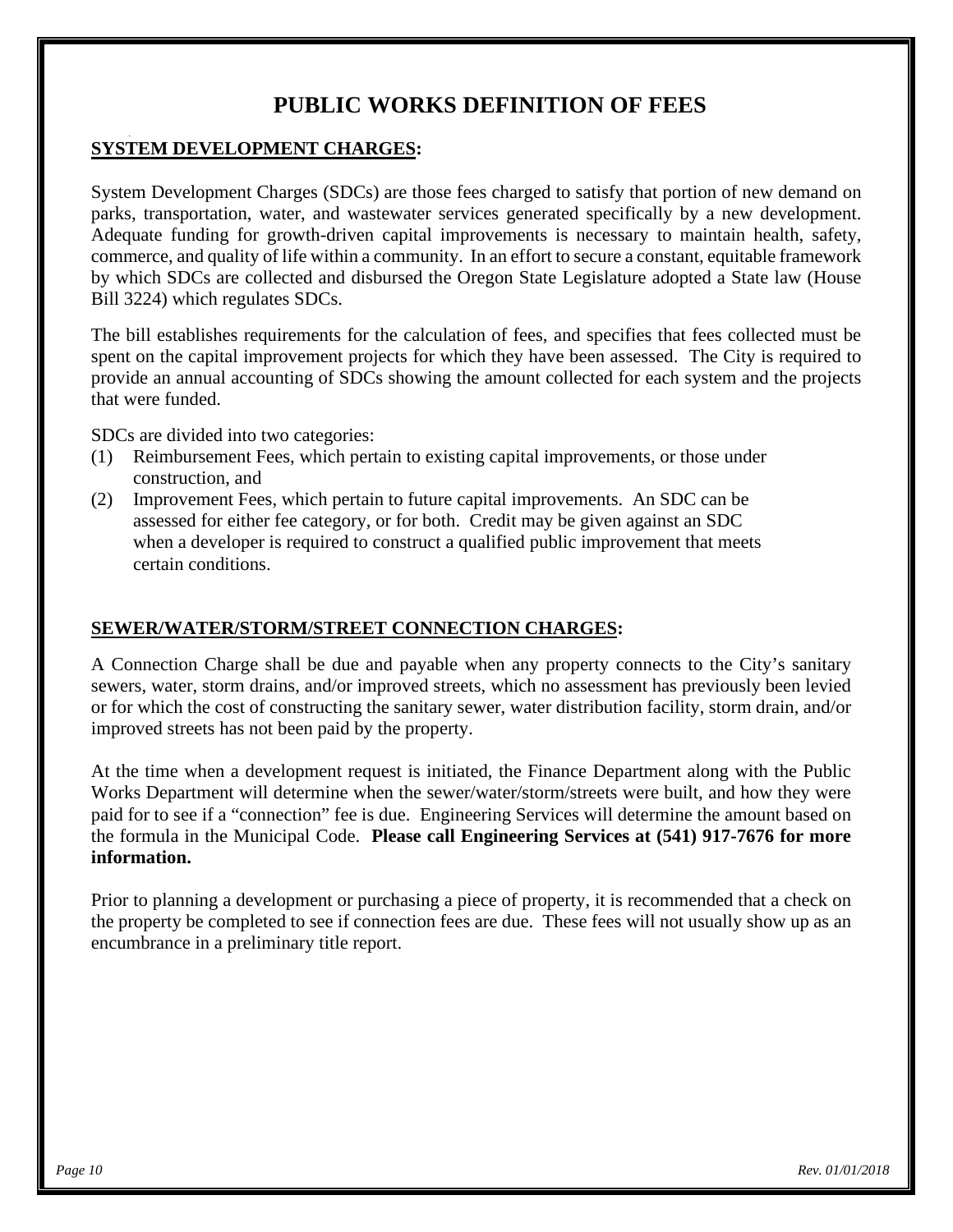# **PUBLIC WORKS DEFINITION OF FEES**

## **SYSTEM DEVELOPMENT CHARGES:**

System Development Charges (SDCs) are those fees charged to satisfy that portion of new demand on parks, transportation, water, and wastewater services generated specifically by a new development. Adequate funding for growth-driven capital improvements is necessary to maintain health, safety, commerce, and quality of life within a community. In an effort to secure a constant, equitable framework by which SDCs are collected and disbursed the Oregon State Legislature adopted a State law (House Bill 3224) which regulates SDCs.

The bill establishes requirements for the calculation of fees, and specifies that fees collected must be spent on the capital improvement projects for which they have been assessed. The City is required to provide an annual accounting of SDCs showing the amount collected for each system and the projects that were funded.

SDCs are divided into two categories:

- (1) Reimbursement Fees, which pertain to existing capital improvements, or those under construction, and
- (2) Improvement Fees, which pertain to future capital improvements. An SDC can be assessed for either fee category, or for both. Credit may be given against an SDC when a developer is required to construct a qualified public improvement that meets certain conditions.

## **SEWER/WATER/STORM/STREET CONNECTION CHARGES:**

A Connection Charge shall be due and payable when any property connects to the City's sanitary sewers, water, storm drains, and/or improved streets, which no assessment has previously been levied or for which the cost of constructing the sanitary sewer, water distribution facility, storm drain, and/or improved streets has not been paid by the property.

At the time when a development request is initiated, the Finance Department along with the Public Works Department will determine when the sewer/water/storm/streets were built, and how they were paid for to see if a "connection" fee is due. Engineering Services will determine the amount based on the formula in the Municipal Code. **Please call Engineering Services at (541) 917-7676 for more information.**

Prior to planning a development or purchasing a piece of property, it is recommended that a check on the property be completed to see if connection fees are due. These fees will not usually show up as an encumbrance in a preliminary title report.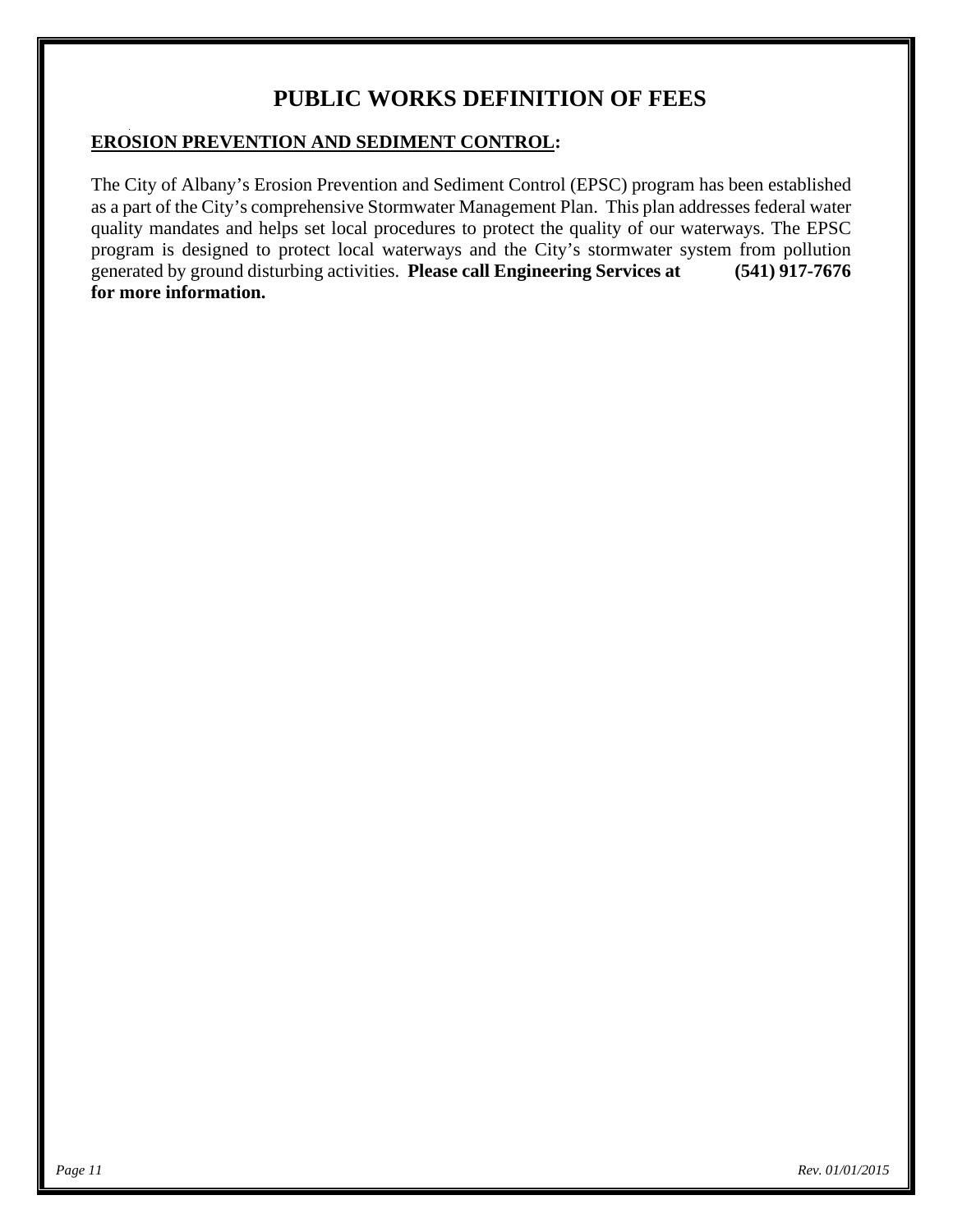# **PUBLIC WORKS DEFINITION OF FEES**

## **EROSION PREVENTION AND SEDIMENT CONTROL:**

The City of Albany's Erosion Prevention and Sediment Control (EPSC) program has been established as a part of the City's comprehensive Stormwater Management Plan. This plan addresses federal water quality mandates and helps set local procedures to protect the quality of our waterways. The EPSC program is designed to protect local waterways and the City's stormwater system from pollution generated by ground disturbing activities. **Please call Engineering Services at (541) 917-7676 for more information.**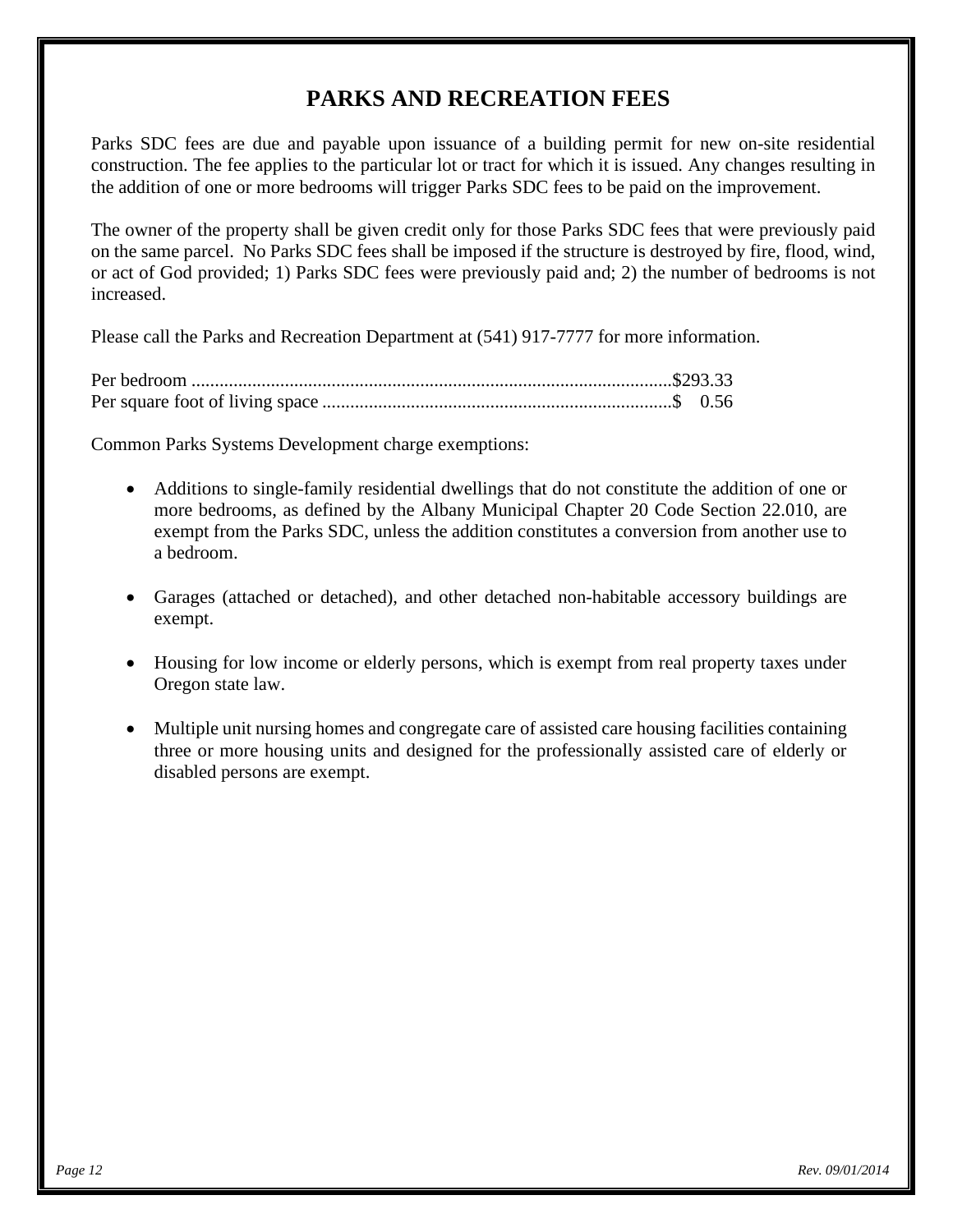# **PARKS AND RECREATION FEES**

Parks SDC fees are due and payable upon issuance of a building permit for new on-site residential construction. The fee applies to the particular lot or tract for which it is issued. Any changes resulting in the addition of one or more bedrooms will trigger Parks SDC fees to be paid on the improvement.

The owner of the property shall be given credit only for those Parks SDC fees that were previously paid on the same parcel. No Parks SDC fees shall be imposed if the structure is destroyed by fire, flood, wind, or act of God provided; 1) Parks SDC fees were previously paid and; 2) the number of bedrooms is not increased.

Please call the Parks and Recreation Department at (541) 917-7777 for more information.

Common Parks Systems Development charge exemptions:

- Additions to single-family residential dwellings that do not constitute the addition of one or more bedrooms, as defined by the Albany Municipal Chapter 20 Code Section 22.010, are exempt from the Parks SDC, unless the addition constitutes a conversion from another use to a bedroom.
- Garages (attached or detached), and other detached non-habitable accessory buildings are exempt.
- Housing for low income or elderly persons, which is exempt from real property taxes under Oregon state law.
- Multiple unit nursing homes and congregate care of assisted care housing facilities containing three or more housing units and designed for the professionally assisted care of elderly or disabled persons are exempt.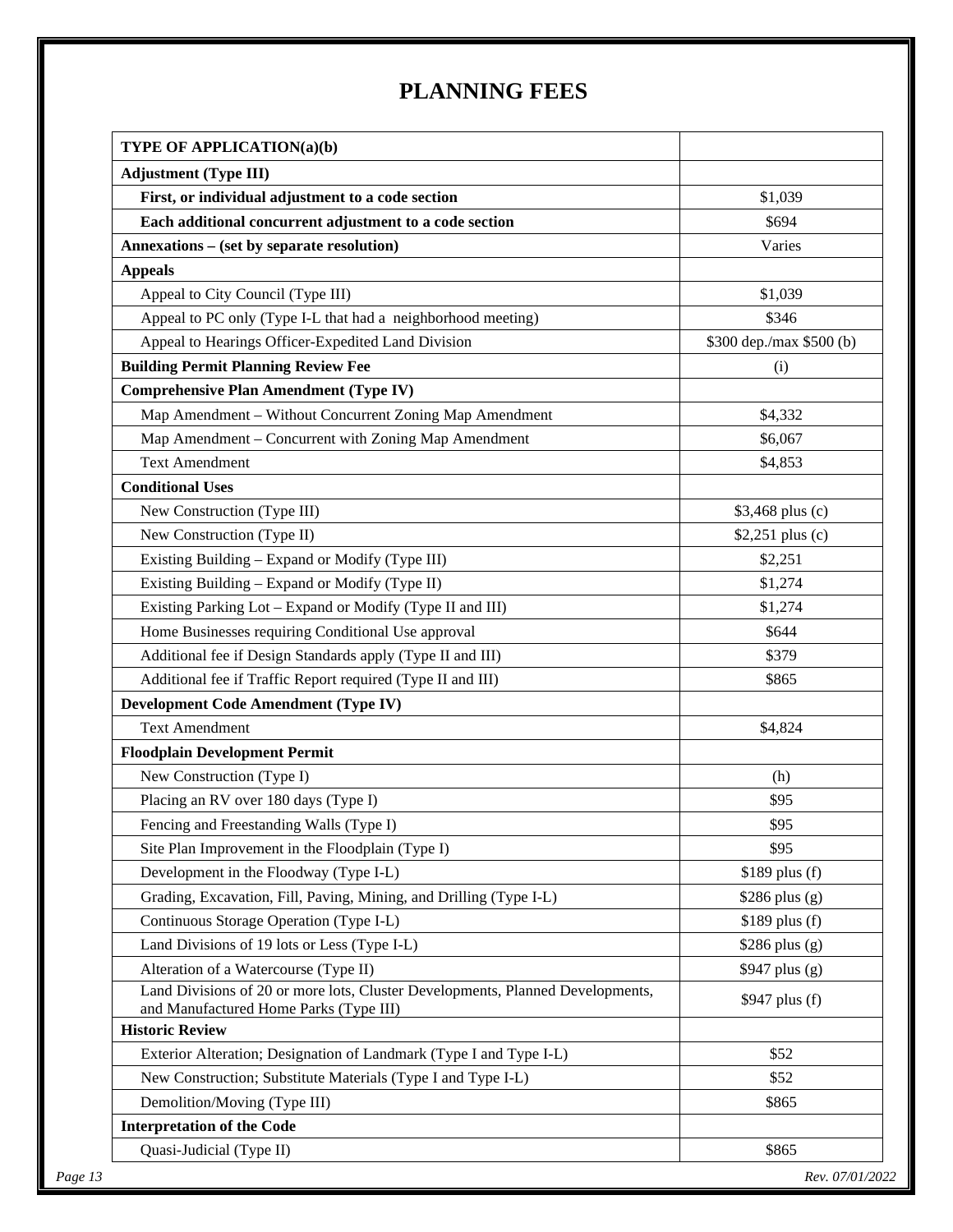# **PLANNING FEES**

| <b>Adjustment (Type III)</b>                                                                                             |                          |
|--------------------------------------------------------------------------------------------------------------------------|--------------------------|
| First, or individual adjustment to a code section                                                                        | \$1,039                  |
| Each additional concurrent adjustment to a code section                                                                  | \$694                    |
| Annexations - (set by separate resolution)                                                                               | Varies                   |
| <b>Appeals</b>                                                                                                           |                          |
| Appeal to City Council (Type III)                                                                                        | \$1,039                  |
| Appeal to PC only (Type I-L that had a neighborhood meeting)                                                             | \$346                    |
| Appeal to Hearings Officer-Expedited Land Division                                                                       | \$300 dep./max \$500 (b) |
| <b>Building Permit Planning Review Fee</b>                                                                               | (i)                      |
| <b>Comprehensive Plan Amendment (Type IV)</b>                                                                            |                          |
| Map Amendment - Without Concurrent Zoning Map Amendment                                                                  | \$4,332                  |
| Map Amendment – Concurrent with Zoning Map Amendment                                                                     | \$6,067                  |
| <b>Text Amendment</b>                                                                                                    | \$4,853                  |
| <b>Conditional Uses</b>                                                                                                  |                          |
| New Construction (Type III)                                                                                              | \$3,468 plus (c)         |
| New Construction (Type II)                                                                                               | \$2,251 plus (c)         |
| Existing Building - Expand or Modify (Type III)                                                                          | \$2,251                  |
| Existing Building - Expand or Modify (Type II)                                                                           | \$1,274                  |
| Existing Parking Lot - Expand or Modify (Type II and III)                                                                | \$1,274                  |
| Home Businesses requiring Conditional Use approval                                                                       | \$644                    |
| Additional fee if Design Standards apply (Type II and III)                                                               | \$379                    |
| Additional fee if Traffic Report required (Type II and III)                                                              | \$865                    |
| <b>Development Code Amendment (Type IV)</b>                                                                              |                          |
| <b>Text Amendment</b>                                                                                                    | \$4,824                  |
| <b>Floodplain Development Permit</b>                                                                                     |                          |
| New Construction (Type I)                                                                                                | (h)                      |
| Placing an RV over 180 days (Type I)                                                                                     | \$95                     |
| Fencing and Freestanding Walls (Type I)                                                                                  | \$95                     |
| Site Plan Improvement in the Floodplain (Type I)                                                                         | \$95                     |
| Development in the Floodway (Type I-L)                                                                                   | \$189 plus (f)           |
| Grading, Excavation, Fill, Paving, Mining, and Drilling (Type I-L)                                                       | \$286 plus (g)           |
| Continuous Storage Operation (Type I-L)                                                                                  | \$189 plus (f)           |
| Land Divisions of 19 lots or Less (Type I-L)                                                                             | $$286$ plus (g)          |
| Alteration of a Watercourse (Type II)                                                                                    | $$947$ plus (g)          |
| Land Divisions of 20 or more lots, Cluster Developments, Planned Developments,<br>and Manufactured Home Parks (Type III) | $$947$ plus (f)          |
| <b>Historic Review</b>                                                                                                   |                          |
| Exterior Alteration; Designation of Landmark (Type I and Type I-L)                                                       | \$52                     |
| New Construction; Substitute Materials (Type I and Type I-L)                                                             | \$52                     |
| Demolition/Moving (Type III)                                                                                             | \$865                    |
| <b>Interpretation of the Code</b>                                                                                        |                          |
| Quasi-Judicial (Type II)                                                                                                 | \$865                    |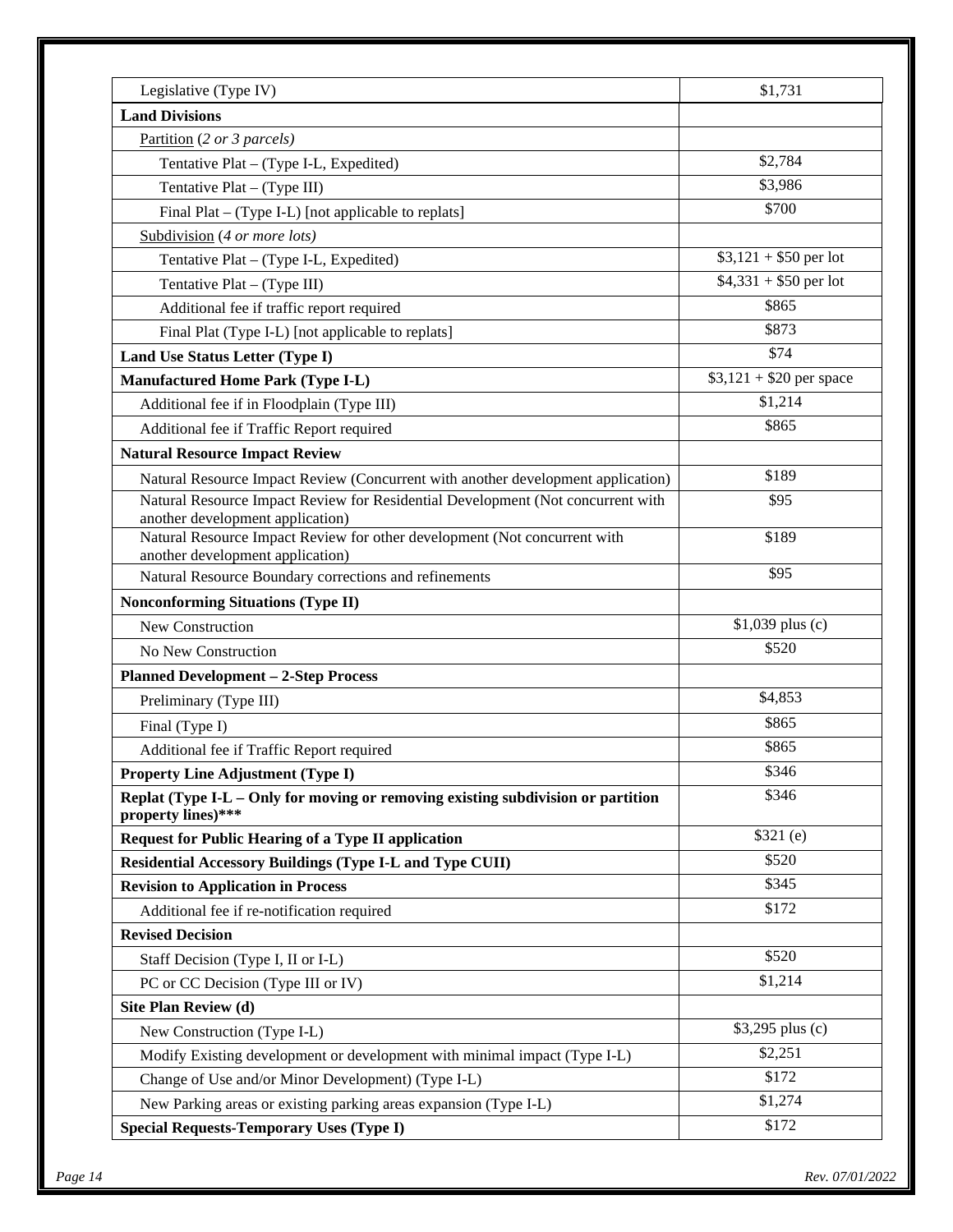| Legislative (Type IV)                                                                                         | \$1,731                  |
|---------------------------------------------------------------------------------------------------------------|--------------------------|
| <b>Land Divisions</b>                                                                                         |                          |
| Partition (2 or 3 parcels)                                                                                    |                          |
| Tentative Plat - (Type I-L, Expedited)                                                                        | \$2,784                  |
| Tentative Plat - (Type III)                                                                                   | \$3,986                  |
| Final Plat – (Type I-L) [not applicable to replats]                                                           | \$700                    |
| Subdivision (4 or more lots)                                                                                  |                          |
| Tentative Plat - (Type I-L, Expedited)                                                                        | $$3,121 + $50$ per lot   |
| Tentative Plat - (Type III)                                                                                   | $$4,331 + $50$ per lot   |
| Additional fee if traffic report required                                                                     | \$865                    |
| Final Plat (Type I-L) [not applicable to replats]                                                             | \$873                    |
| Land Use Status Letter (Type I)                                                                               | \$74                     |
| <b>Manufactured Home Park (Type I-L)</b>                                                                      | $$3,121 + $20$ per space |
| Additional fee if in Floodplain (Type III)                                                                    | \$1,214                  |
| Additional fee if Traffic Report required                                                                     | \$865                    |
| <b>Natural Resource Impact Review</b>                                                                         |                          |
| Natural Resource Impact Review (Concurrent with another development application)                              | \$189                    |
| Natural Resource Impact Review for Residential Development (Not concurrent with                               | \$95                     |
| another development application)                                                                              |                          |
| Natural Resource Impact Review for other development (Not concurrent with<br>another development application) | \$189                    |
| Natural Resource Boundary corrections and refinements                                                         | \$95                     |
| <b>Nonconforming Situations (Type II)</b>                                                                     |                          |
| New Construction                                                                                              | \$1,039 plus (c)         |
| No New Construction                                                                                           | \$520                    |
| <b>Planned Development - 2-Step Process</b>                                                                   |                          |
| Preliminary (Type III)                                                                                        | \$4,853                  |
| Final (Type I)                                                                                                | \$865                    |
| Additional fee if Traffic Report required                                                                     | \$865                    |
| <b>Property Line Adjustment (Type I)</b>                                                                      | \$346                    |
| Replat (Type I-L - Only for moving or removing existing subdivision or partition<br>property lines)***        | \$346                    |
| <b>Request for Public Hearing of a Type II application</b>                                                    | \$321(e)                 |
| <b>Residential Accessory Buildings (Type I-L and Type CUII)</b>                                               | \$520                    |
| <b>Revision to Application in Process</b>                                                                     | \$345                    |
| Additional fee if re-notification required                                                                    | \$172                    |
| <b>Revised Decision</b>                                                                                       |                          |
| Staff Decision (Type I, II or I-L)                                                                            | \$520                    |
| PC or CC Decision (Type III or IV)                                                                            | \$1,214                  |
| Site Plan Review (d)                                                                                          |                          |
| New Construction (Type I-L)                                                                                   | \$3,295 plus (c)         |
| Modify Existing development or development with minimal impact (Type I-L)                                     | \$2,251                  |
| Change of Use and/or Minor Development) (Type I-L)                                                            | \$172                    |
| New Parking areas or existing parking areas expansion (Type I-L)                                              | \$1,274                  |
| <b>Special Requests-Temporary Uses (Type I)</b>                                                               | \$172                    |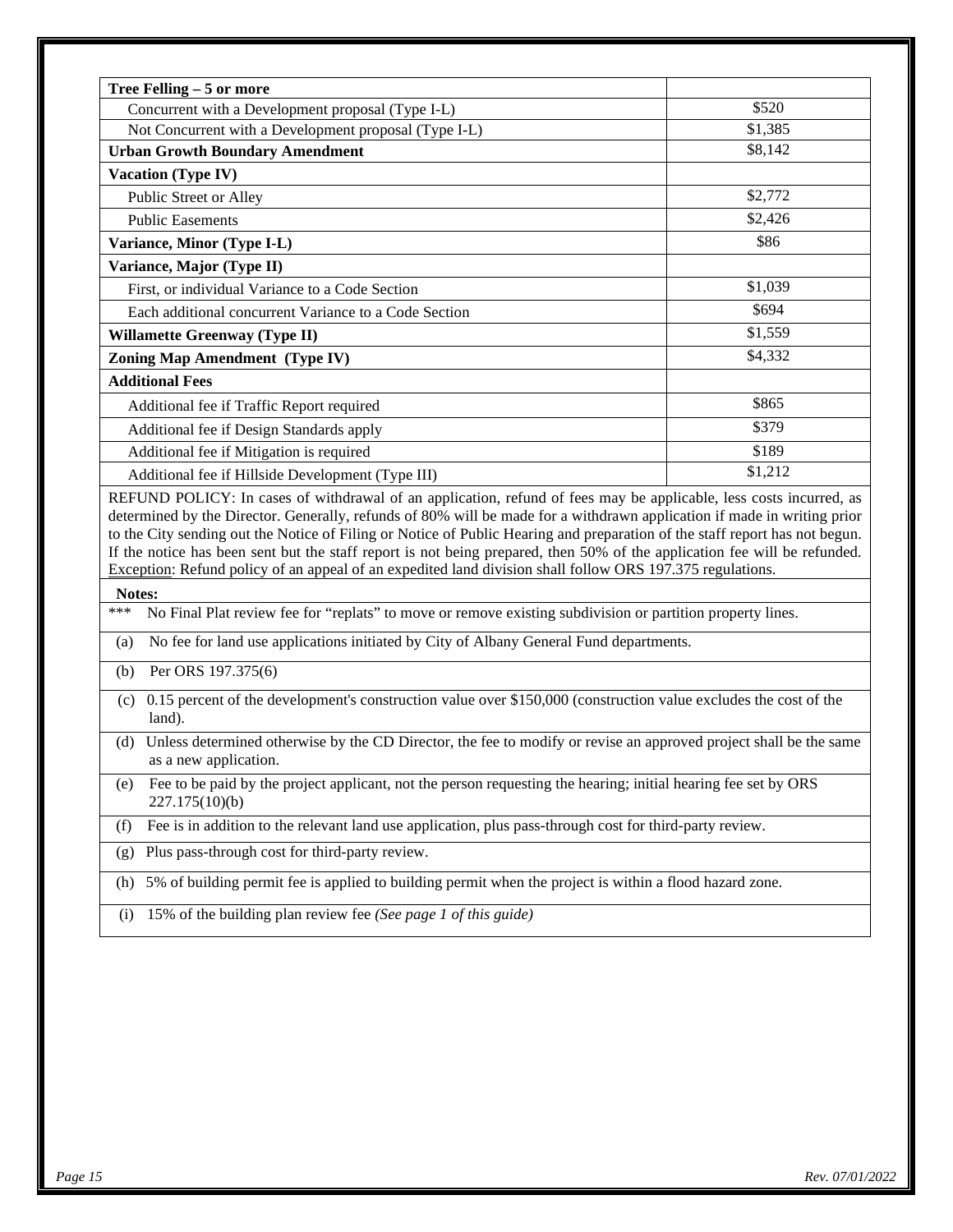| Concurrent with a Development proposal (Type I-L)                                                                                                                                                                                                                                                                                                                                                                                                                                                          | \$520              |
|------------------------------------------------------------------------------------------------------------------------------------------------------------------------------------------------------------------------------------------------------------------------------------------------------------------------------------------------------------------------------------------------------------------------------------------------------------------------------------------------------------|--------------------|
|                                                                                                                                                                                                                                                                                                                                                                                                                                                                                                            |                    |
| Not Concurrent with a Development proposal (Type I-L)                                                                                                                                                                                                                                                                                                                                                                                                                                                      | \$1,385<br>\$8,142 |
| <b>Urban Growth Boundary Amendment</b>                                                                                                                                                                                                                                                                                                                                                                                                                                                                     |                    |
| Vacation (Type IV)                                                                                                                                                                                                                                                                                                                                                                                                                                                                                         | \$2,772            |
| Public Street or Alley                                                                                                                                                                                                                                                                                                                                                                                                                                                                                     |                    |
| <b>Public Easements</b>                                                                                                                                                                                                                                                                                                                                                                                                                                                                                    | \$2,426            |
| Variance, Minor (Type I-L)                                                                                                                                                                                                                                                                                                                                                                                                                                                                                 | \$86               |
| Variance, Major (Type II)                                                                                                                                                                                                                                                                                                                                                                                                                                                                                  |                    |
| First, or individual Variance to a Code Section                                                                                                                                                                                                                                                                                                                                                                                                                                                            | \$1,039            |
| Each additional concurrent Variance to a Code Section                                                                                                                                                                                                                                                                                                                                                                                                                                                      | \$694              |
| <b>Willamette Greenway (Type II)</b>                                                                                                                                                                                                                                                                                                                                                                                                                                                                       | \$1,559            |
| <b>Zoning Map Amendment (Type IV)</b>                                                                                                                                                                                                                                                                                                                                                                                                                                                                      | \$4,332            |
| <b>Additional Fees</b>                                                                                                                                                                                                                                                                                                                                                                                                                                                                                     |                    |
| Additional fee if Traffic Report required                                                                                                                                                                                                                                                                                                                                                                                                                                                                  | \$865              |
| Additional fee if Design Standards apply                                                                                                                                                                                                                                                                                                                                                                                                                                                                   | \$379              |
| Additional fee if Mitigation is required                                                                                                                                                                                                                                                                                                                                                                                                                                                                   | \$189              |
| Additional fee if Hillside Development (Type III)                                                                                                                                                                                                                                                                                                                                                                                                                                                          | \$1,212            |
| determined by the Director. Generally, refunds of 80% will be made for a withdrawn application if made in writing prior<br>to the City sending out the Notice of Filing or Notice of Public Hearing and preparation of the staff report has not begun.<br>If the notice has been sent but the staff report is not being prepared, then 50% of the application fee will be refunded.<br>Exception: Refund policy of an appeal of an expedited land division shall follow ORS 197.375 regulations.<br>Notes: |                    |
|                                                                                                                                                                                                                                                                                                                                                                                                                                                                                                            |                    |
| No Final Plat review fee for "replats" to move or remove existing subdivision or partition property lines.<br>***                                                                                                                                                                                                                                                                                                                                                                                          |                    |
| No fee for land use applications initiated by City of Albany General Fund departments.<br>(a)                                                                                                                                                                                                                                                                                                                                                                                                              |                    |
| Per ORS 197.375(6)<br>(b)                                                                                                                                                                                                                                                                                                                                                                                                                                                                                  |                    |
| (c) 0.15 percent of the development's construction value over \$150,000 (construction value excludes the cost of the<br>land).                                                                                                                                                                                                                                                                                                                                                                             |                    |
| (d) Unless determined otherwise by the CD Director, the fee to modify or revise an approved project shall be the same<br>as a new application.                                                                                                                                                                                                                                                                                                                                                             |                    |
| Fee to be paid by the project applicant, not the person requesting the hearing; initial hearing fee set by ORS<br>(e)<br>227.175(10)(b)                                                                                                                                                                                                                                                                                                                                                                    |                    |
| Fee is in addition to the relevant land use application, plus pass-through cost for third-party review.<br>(f)                                                                                                                                                                                                                                                                                                                                                                                             |                    |
| Plus pass-through cost for third-party review.<br>(g)                                                                                                                                                                                                                                                                                                                                                                                                                                                      |                    |
| 5% of building permit fee is applied to building permit when the project is within a flood hazard zone.<br>(h)                                                                                                                                                                                                                                                                                                                                                                                             |                    |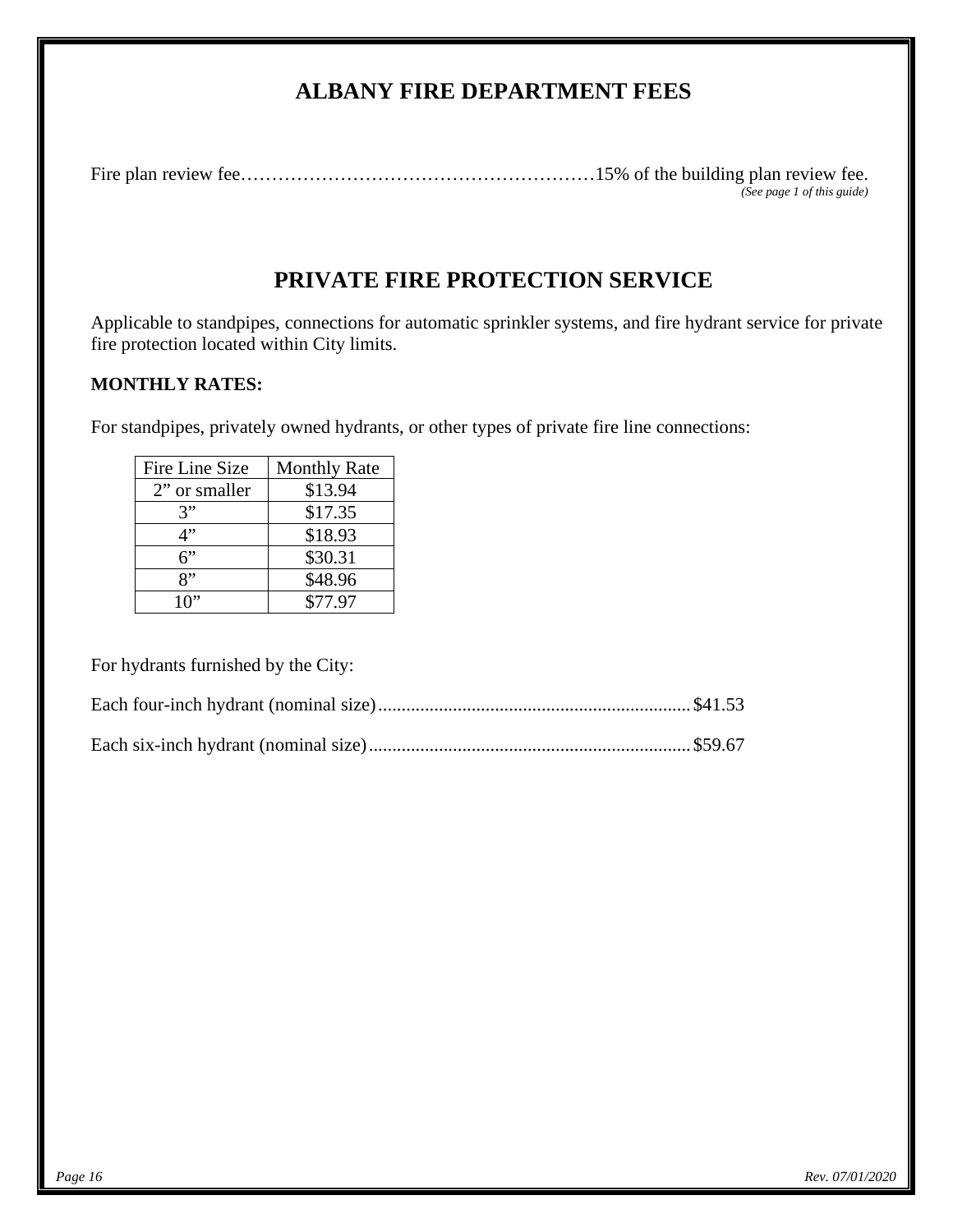# **ALBANY FIRE DEPARTMENT FEES**

Fire plan review fee…………………………………………………15% of the building plan review fee. *(See page 1 of this guide)* 

# **PRIVATE FIRE PROTECTION SERVICE**

Applicable to standpipes, connections for automatic sprinkler systems, and fire hydrant service for private fire protection located within City limits.

## **MONTHLY RATES:**

For standpipes, privately owned hydrants, or other types of private fire line connections:

| Fire Line Size | <b>Monthly Rate</b> |
|----------------|---------------------|
| 2" or smaller  | \$13.94             |
| 3"             | \$17.35             |
| 1"             | \$18.93             |
| 6"             | \$30.31             |
| יי,            | \$48.96             |
| 10"            | \$77.97             |

For hydrants furnished by the City: